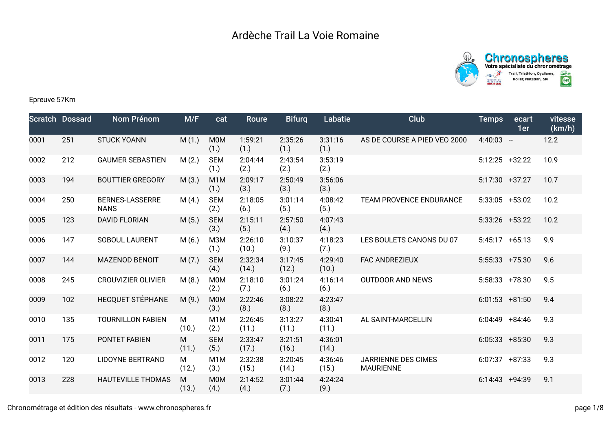



## Epreuve 57Km

|      | <b>Scratch Dossard</b> | <b>Nom Prénom</b>                     | M/F        | cat                      | <b>Roure</b>     | <b>Bifurq</b>    | <b>Labatie</b>   | Club                                    | <b>Temps</b>      | ecart<br>1er | vitesse<br>(km/h) |
|------|------------------------|---------------------------------------|------------|--------------------------|------------------|------------------|------------------|-----------------------------------------|-------------------|--------------|-------------------|
| 0001 | 251                    | <b>STUCK YOANN</b>                    | M(1.)      | <b>M0M</b><br>(1.)       | 1:59:21<br>(1.)  | 2:35:26<br>(1.)  | 3:31:16<br>(1.)  | AS DE COURSE A PIED VEO 2000            | $4:40:03 -$       |              | 12.2              |
| 0002 | 212                    | <b>GAUMER SEBASTIEN</b>               | M(2.)      | <b>SEM</b><br>(1.)       | 2:04:44<br>(2.)  | 2:43:54<br>(2.)  | 3:53:19<br>(2.)  |                                         | $5:12:25$ +32:22  |              | 10.9              |
| 0003 | 194                    | <b>BOUTTIER GREGORY</b>               | M(3.)      | M <sub>1</sub> M<br>(1.) | 2:09:17<br>(3.)  | 2:50:49<br>(3.)  | 3:56:06<br>(3.)  |                                         | $5:17:30 +37:27$  |              | 10.7              |
| 0004 | 250                    | <b>BERNES-LASSERRE</b><br><b>NANS</b> | M(4.)      | <b>SEM</b><br>(2.)       | 2:18:05<br>(6.)  | 3:01:14<br>(5.)  | 4:08:42<br>(5.)  | TEAM PROVENCE ENDURANCE                 | $5:33:05$ +53:02  |              | 10.2              |
| 0005 | 123                    | <b>DAVID FLORIAN</b>                  | M(5.)      | <b>SEM</b><br>(3.)       | 2:15:11<br>(5.)  | 2:57:50<br>(4.)  | 4:07:43<br>(4.)  |                                         | $5:33:26$ +53:22  |              | 10.2              |
| 0006 | 147                    | SOBOUL LAURENT                        | M(6.)      | <b>МЗМ</b><br>(1.)       | 2:26:10<br>(10.) | 3:10:37<br>(9.)  | 4:18:23<br>(7.)  | LES BOULETS CANONS DU 07                | $5:45:17$ +65:13  |              | 9.9               |
| 0007 | 144                    | <b>MAZENOD BENOIT</b>                 | M(7.)      | <b>SEM</b><br>(4.)       | 2:32:34<br>(14.) | 3:17:45<br>(12.) | 4:29:40<br>(10.) | <b>FAC ANDREZIEUX</b>                   | $5:55:33$ +75:30  |              | 9.6               |
| 0008 | 245                    | <b>CROUVIZIER OLIVIER</b>             | M(8.)      | M <sub>0</sub> M<br>(2.) | 2:18:10<br>(7.)  | 3:01:24<br>(6.)  | 4:16:14<br>(6.)  | <b>OUTDOOR AND NEWS</b>                 | $5:58:33$ +78:30  |              | 9.5               |
| 0009 | 102                    | HECQUET STÉPHANE                      | M(9.)      | <b>M0M</b><br>(3.)       | 2:22:46<br>(8.)  | 3:08:22<br>(8.)  | 4:23:47<br>(8.)  |                                         | $6:01:53$ +81:50  |              | 9.4               |
| 0010 | 135                    | <b>TOURNILLON FABIEN</b>              | M<br>(10.) | M <sub>1</sub> M<br>(2.) | 2:26:45<br>(11.) | 3:13:27<br>(11.) | 4:30:41<br>(11.) | AL SAINT-MARCELLIN                      | $6:04:49$ +84:46  |              | 9.3               |
| 0011 | 175                    | PONTET FABIEN                         | M<br>(11.) | <b>SEM</b><br>(5.)       | 2:33:47<br>(17.) | 3:21:51<br>(16.) | 4:36:01<br>(14.) |                                         | $6:05:33 + 85:30$ |              | 9.3               |
| 0012 | 120                    | <b>LIDOYNE BERTRAND</b>               | M<br>(12.) | M <sub>1</sub> M<br>(3.) | 2:32:38<br>(15.) | 3:20:45<br>(14.) | 4:36:46<br>(15.) | JARRIENNE DES CIMES<br><b>MAURIENNE</b> | $6:07:37$ +87:33  |              | 9.3               |
| 0013 | 228                    | <b>HAUTEVILLE THOMAS</b>              | M<br>(13.) | M <sub>0</sub> M<br>(4.) | 2:14:52<br>(4.)  | 3:01:44<br>(7.)  | 4:24:24<br>(9.)  |                                         | $6:14:43$ +94:39  |              | 9.1               |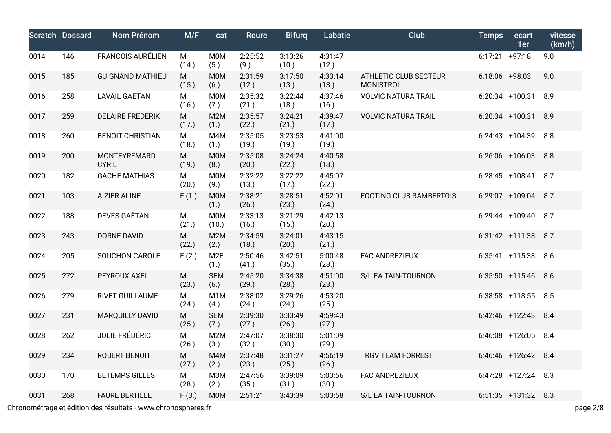|      | <b>Scratch Dossard</b> | Nom Prénom                   | M/F        | cat                      | <b>Roure</b>     | <b>Bifurg</b>    | Labatie          | <b>Club</b>                               | <b>Temps</b>     | ecart<br>1er          | vitesse<br>(km/h) |
|------|------------------------|------------------------------|------------|--------------------------|------------------|------------------|------------------|-------------------------------------------|------------------|-----------------------|-------------------|
| 0014 | 146                    | <b>FRANCOIS AURÉLIEN</b>     | M<br>(14.) | <b>M0M</b><br>(5.)       | 2:25:52<br>(9.)  | 3:13:26<br>(10.) | 4:31:47<br>(12.) |                                           | $6:17:21$ +97:18 |                       | 9.0               |
| 0015 | 185                    | <b>GUIGNAND MATHIEU</b>      | M<br>(15.) | <b>MOM</b><br>(6.)       | 2:31:59<br>(12.) | 3:17:50<br>(13.) | 4:33:14<br>(13.) | ATHLETIC CLUB SECTEUR<br><b>MONISTROL</b> | $6:18:06$ +98:03 |                       | 9.0               |
| 0016 | 258                    | <b>LAVAIL GAETAN</b>         | M<br>(16.) | M0M<br>(7.)              | 2:35:32<br>(21.) | 3:22:44<br>(18.) | 4:37:46<br>(16.) | <b>VOLVIC NATURA TRAIL</b>                |                  | 6:20:34 +100:31 8.9   |                   |
| 0017 | 259                    | <b>DELAIRE FREDERIK</b>      | M<br>(17.) | M2M<br>(1.)              | 2:35:57<br>(22.) | 3:24:21<br>(21.) | 4:39:47<br>(17.) | <b>VOLVIC NATURA TRAIL</b>                |                  | 6:20:34 +100:31 8.9   |                   |
| 0018 | 260                    | <b>BENOIT CHRISTIAN</b>      | M<br>(18.) | M4M<br>(1.)              | 2:35:05<br>(19.) | 3:23:53<br>(19.) | 4:41:00<br>(19.) |                                           |                  | 6:24:43 +104:39 8.8   |                   |
| 0019 | 200                    | MONTEYREMARD<br><b>CYRIL</b> | M<br>(19.) | <b>MOM</b><br>(8.)       | 2:35:08<br>(20.) | 3:24:24<br>(22.) | 4:40:58<br>(18.) |                                           |                  | 6:26:06 +106:03 8.8   |                   |
| 0020 | 182                    | <b>GACHE MATHIAS</b>         | M<br>(20.) | M0M<br>(9.)              | 2:32:22<br>(13.) | 3:22:22<br>(17.) | 4:45:07<br>(22.) |                                           |                  | $6:28:45$ +108:41     | 8.7               |
| 0021 | 103                    | <b>AIZIER ALINE</b>          | F(1.)      | <b>MOM</b><br>(1.)       | 2:38:21<br>(26.) | 3:28:51<br>(23.) | 4:52:01<br>(24.) | FOOTING CLUB RAMBERTOIS                   |                  | 6:29:07 +109:04 8.7   |                   |
| 0022 | 188                    | <b>DEVES GAËTAN</b>          | M<br>(21.) | M0M<br>(10.)             | 2:33:13<br>(16.) | 3:21:29<br>(15.) | 4:42:13<br>(20.) |                                           |                  | 6:29:44 +109:40 8.7   |                   |
| 0023 | 243                    | <b>DORNE DAVID</b>           | M<br>(22.) | M2M<br>(2.)              | 2:34:59<br>(18.) | 3:24:01<br>(20.) | 4:43:15<br>(21.) |                                           |                  | $6:31:42$ +111:38 8.7 |                   |
| 0024 | 205                    | <b>SOUCHON CAROLE</b>        | F(2.)      | M <sub>2F</sub><br>(1.)  | 2:50:46<br>(41.) | 3:42:51<br>(35.) | 5:00:48<br>(28.) | FAC ANDREZIEUX                            |                  | 6:35:41 +115:38 8.6   |                   |
| 0025 | 272                    | PEYROUX AXEL                 | M<br>(23.) | <b>SEM</b><br>(6.)       | 2:45:20<br>(29.) | 3:34:38<br>(28.) | 4:51:00<br>(23.) | S/L EA TAIN-TOURNON                       |                  | $6:35:50$ +115:46     | 8.6               |
| 0026 | 279                    | RIVET GUILLAUME              | М<br>(24.) | M <sub>1</sub> M<br>(4.) | 2:38:02<br>(24.) | 3:29:26<br>(24.) | 4:53:20<br>(25.) |                                           |                  | 6:38:58 +118:55 8.5   |                   |
| 0027 | 231                    | <b>MARQUILLY DAVID</b>       | M<br>(25.) | <b>SEM</b><br>(7.)       | 2:39:30<br>(27.) | 3:33:49<br>(26.) | 4:59:43<br>(27.) |                                           |                  | 6:42:46 +122:43 8.4   |                   |
| 0028 | 262                    | JOLIE FRÉDÉRIC               | M<br>(26.) | M2M<br>(3.)              | 2:47:07<br>(32.) | 3:38:30<br>(30.) | 5:01:09<br>(29.) |                                           |                  | 6:46:08 +126:05 8.4   |                   |
| 0029 | 234                    | ROBERT BENOIT                | M<br>(27.) | M4M<br>(2.)              | 2:37:48<br>(23.) | 3:31:27<br>(25.) | 4:56:19<br>(26.) | <b>TRGV TEAM FORREST</b>                  |                  | 6:46:46 +126:42 8.4   |                   |
| 0030 | 170                    | <b>BETEMPS GILLES</b>        | М<br>(28.) | <b>МЗМ</b><br>(2.)       | 2:47:56<br>(35.) | 3:39:09<br>(31.) | 5:03:56<br>(30.) | FAC ANDREZIEUX                            |                  | $6:47:28$ +127:24 8.3 |                   |
| 0031 | 268                    | <b>FAURE BERTILLE</b>        | F(3.)      | <b>MOM</b>               | 2:51:21          | 3:43:39          | 5:03:58          | S/L EA TAIN-TOURNON                       |                  | $6:51:35$ +131:32 8.3 |                   |

Chronométrage et édition des résultats - www.chronospheres.fr page 2/8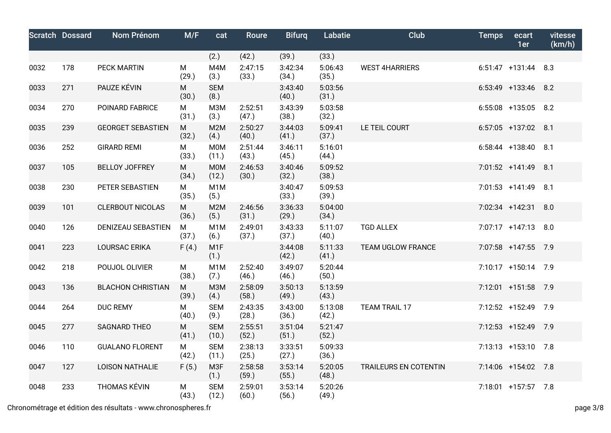|      | <b>Scratch Dossard</b> | Nom Prénom               | M/F        | cat                       | Roure            | <b>Bifurg</b>    | Labatie          | <b>Club</b>           | <b>Temps</b> | ecart<br>1er          | vitesse<br>(km/h) |
|------|------------------------|--------------------------|------------|---------------------------|------------------|------------------|------------------|-----------------------|--------------|-----------------------|-------------------|
|      |                        |                          |            | (2.)                      | (42.)            | (39.)            | (33.)            |                       |              |                       |                   |
| 0032 | 178                    | <b>PECK MARTIN</b>       | M<br>(29.) | M4M<br>(3.)               | 2:47:15<br>(33.) | 3:42:34<br>(34.) | 5:06:43<br>(35.) | <b>WEST 4HARRIERS</b> |              | $6:51:47$ +131:44 8.3 |                   |
| 0033 | 271                    | PAUZE KÉVIN              | M<br>(30.) | <b>SEM</b><br>(8.)        |                  | 3:43:40<br>(40.) | 5:03:56<br>(31.) |                       |              | 6:53:49 +133:46 8.2   |                   |
| 0034 | 270                    | POINARD FABRICE          | M<br>(31.) | <b>МЗМ</b><br>(3.)        | 2:52:51<br>(47.) | 3:43:39<br>(38.) | 5:03:58<br>(32.) |                       |              | 6:55:08 +135:05 8.2   |                   |
| 0035 | 239                    | <b>GEORGET SEBASTIEN</b> | M<br>(32.) | M2M<br>(4.)               | 2:50:27<br>(40.) | 3:44:03<br>(41.) | 5:09:41<br>(37.) | LE TEIL COURT         |              | $6:57:05$ +137:02 8.1 |                   |
| 0036 | 252                    | <b>GIRARD REMI</b>       | M<br>(33.) | M0M<br>(11.)              | 2:51:44<br>(43.) | 3:46:11<br>(45.) | 5:16:01<br>(44.) |                       |              | 6:58:44 +138:40 8.1   |                   |
| 0037 | 105                    | <b>BELLOY JOFFREY</b>    | M<br>(34.) | M <sub>0</sub> M<br>(12.) | 2:46:53<br>(30.) | 3:40:46<br>(32.) | 5:09:52<br>(38.) |                       |              | 7:01:52 +141:49 8.1   |                   |
| 0038 | 230                    | PETER SEBASTIEN          | M<br>(35.) | M <sub>1</sub> M<br>(5.)  |                  | 3:40:47<br>(33.) | 5:09:53<br>(39.) |                       |              | $7:01:53$ +141:49 8.1 |                   |
| 0039 | 101                    | <b>CLERBOUT NICOLAS</b>  | M<br>(36.) | M <sub>2</sub> M<br>(5.)  | 2:46:56<br>(31.) | 3:36:33<br>(29.) | 5:04:00<br>(34.) |                       |              | 7:02:34 +142:31       | 8.0               |
| 0040 | 126                    | DENIZEAU SEBASTIEN       | M<br>(37.) | M <sub>1</sub> M<br>(6.)  | 2:49:01<br>(37.) | 3:43:33<br>(37.) | 5:11:07<br>(40.) | <b>TGD ALLEX</b>      |              | 7:07:17 +147:13 8.0   |                   |
| 0041 | 223                    | <b>LOURSAC ERIKA</b>     | F(4.)      | M <sub>1</sub> F<br>(1.)  |                  | 3:44:08<br>(42.) | 5:11:33<br>(41.) | TEAM UGLOW FRANCE     |              | 7:07:58 +147:55 7.9   |                   |
| 0042 | 218                    | POUJOL OLIVIER           | M<br>(38.) | M <sub>1</sub> M<br>(7.)  | 2:52:40<br>(46.) | 3:49:07<br>(46.) | 5:20:44<br>(50.) |                       |              | 7:10:17 +150:14 7.9   |                   |
| 0043 | 136                    | <b>BLACHON CHRISTIAN</b> | M<br>(39.) | <b>M3M</b><br>(4.)        | 2:58:09<br>(58.) | 3:50:13<br>(49.) | 5:13:59<br>(43.) |                       |              | 7:12:01 +151:58 7.9   |                   |
| 0044 | 264                    | <b>DUC REMY</b>          | M<br>(40.) | <b>SEM</b><br>(9.)        | 2:43:35<br>(28.) | 3:43:00<br>(36.) | 5:13:08<br>(42.) | TEAM TRAIL 17         |              | 7:12:52 +152:49 7.9   |                   |
| 0045 | 277                    | <b>SAGNARD THEO</b>      | M<br>(41.) | <b>SEM</b><br>(10.)       | 2:55:51<br>(52.) | 3:51:04<br>(51.) | 5:21:47<br>(52.) |                       |              | 7:12:53 +152:49 7.9   |                   |
| 0046 | 110                    | <b>GUALANO FLORENT</b>   | M<br>(42.) | <b>SEM</b><br>(11.)       | 2:38:13<br>(25.) | 3:33:51<br>(27.) | 5:09:33<br>(36.) |                       |              | 7:13:13 +153:10 7.8   |                   |
| 0047 | 127                    | <b>LOISON NATHALIE</b>   | F(5.)      | M3F<br>(1.)               | 2:58:58<br>(59.) | 3:53:14<br>(55.) | 5:20:05<br>(48.) | TRAILEURS EN COTENTIN |              | 7:14:06 +154:02 7.8   |                   |
| 0048 | 233                    | <b>THOMAS KÉVIN</b>      | M<br>(43.) | <b>SEM</b><br>(12.)       | 2:59:01<br>(60.) | 3:53:14<br>(56.) | 5:20:26<br>(49.) |                       |              | 7:18:01 +157:57 7.8   |                   |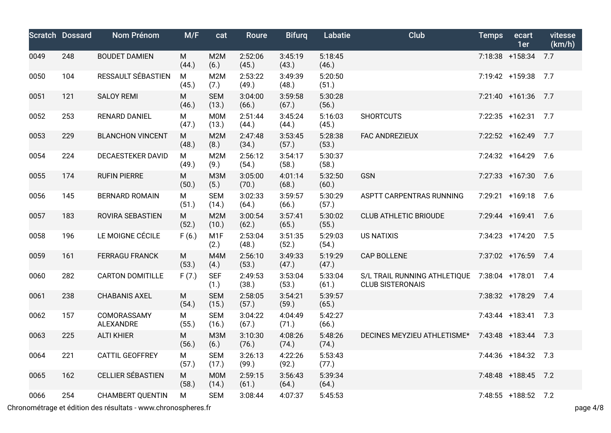|      | <b>Scratch Dossard</b> | Nom Prénom               | M/F        | cat                       | Roure            | <b>Bifurg</b>    | Labatie          | <b>Club</b>                                             | <b>Temps</b> | ecart<br>1er        | vitesse<br>(km/h) |
|------|------------------------|--------------------------|------------|---------------------------|------------------|------------------|------------------|---------------------------------------------------------|--------------|---------------------|-------------------|
| 0049 | 248                    | <b>BOUDET DAMIEN</b>     | М<br>(44.) | M2M<br>(6.)               | 2:52:06<br>(45.) | 3:45:19<br>(43.) | 5:18:45<br>(46.) |                                                         |              | 7:18:38 +158:34     | 7.7               |
| 0050 | 104                    | RESSAULT SÉBASTIEN       | M<br>(45.) | M <sub>2</sub> M<br>(7.)  | 2:53:22<br>(49.) | 3:49:39<br>(48.) | 5:20:50<br>(51.) |                                                         |              | 7:19:42 +159:38 7.7 |                   |
| 0051 | 121                    | <b>SALOY REMI</b>        | M<br>(46.) | <b>SEM</b><br>(13.)       | 3:04:00<br>(66.) | 3:59:58<br>(67.) | 5:30:28<br>(56.) |                                                         |              | $7:21:40$ +161:36   | 7.7               |
| 0052 | 253                    | <b>RENARD DANIEL</b>     | М<br>(47.) | M0M<br>(13.)              | 2:51:44<br>(44.) | 3:45:24<br>(44.) | 5:16:03<br>(45.) | <b>SHORTCUTS</b>                                        |              | 7:22:35 +162:31 7.7 |                   |
| 0053 | 229                    | <b>BLANCHON VINCENT</b>  | M<br>(48.) | M2M<br>(8.)               | 2:47:48<br>(34.) | 3:53:45<br>(57.) | 5:28:38<br>(53.) | FAC ANDREZIEUX                                          |              | 7:22:52 +162:49     | 7.7               |
| 0054 | 224                    | <b>DECAESTEKER DAVID</b> | M<br>(49.) | M <sub>2</sub> M<br>(9.)  | 2:56:12<br>(54.) | 3:54:17<br>(58.) | 5:30:37<br>(58.) |                                                         |              | 7:24:32 +164:29     | 7.6               |
| 0055 | 174                    | <b>RUFIN PIERRE</b>      | M<br>(50.) | <b>M3M</b><br>(5.)        | 3:05:00<br>(70.) | 4:01:14<br>(68.) | 5:32:50<br>(60.) | <b>GSN</b>                                              |              | 7:27:33 +167:30     | 7.6               |
| 0056 | 145                    | <b>BERNARD ROMAIN</b>    | М<br>(51.) | <b>SEM</b><br>(14.)       | 3:02:33<br>(64.) | 3:59:57<br>(66.) | 5:30:29<br>(57.) | ASPTT CARPENTRAS RUNNING                                |              | 7:29:21 +169:18 7.6 |                   |
| 0057 | 183                    | ROVIRA SEBASTIEN         | M<br>(52.) | M <sub>2</sub> M<br>(10.) | 3:00:54<br>(62.) | 3:57:41<br>(65.) | 5:30:02<br>(55.) | <b>CLUB ATHLETIC BRIOUDE</b>                            |              | 7:29:44 +169:41 7.6 |                   |
| 0058 | 196                    | LE MOIGNE CÉCILE         | F(6.)      | M <sub>1</sub> F<br>(2.)  | 2:53:04<br>(48.) | 3:51:35<br>(52.) | 5:29:03<br>(54.) | <b>US NATIXIS</b>                                       |              | 7:34:23 +174:20 7.5 |                   |
| 0059 | 161                    | <b>FERRAGU FRANCK</b>    | M<br>(53.) | M4M<br>(4.)               | 2:56:10<br>(53.) | 3:49:33<br>(47.) | 5:19:29<br>(47.) | <b>CAP BOLLENE</b>                                      |              | 7:37:02 +176:59 7.4 |                   |
| 0060 | 282                    | <b>CARTON DOMITILLE</b>  | F(7.)      | <b>SEF</b><br>(1.)        | 2:49:53<br>(38.) | 3:53:04<br>(53.) | 5:33:04<br>(61.) | S/L TRAIL RUNNING ATHLETIQUE<br><b>CLUB SISTERONAIS</b> |              | 7:38:04 +178:01 7.4 |                   |
| 0061 | 238                    | <b>CHABANIS AXEL</b>     | M<br>(54.) | <b>SEM</b><br>(15.)       | 2:58:05<br>(57.) | 3:54:21<br>(59.) | 5:39:57<br>(65.) |                                                         |              | 7:38:32 +178:29     | 7.4               |
| 0062 | 157                    | COMORASSAMY<br>ALEXANDRE | м<br>(55.) | <b>SEM</b><br>(16.)       | 3:04:22<br>(67.) | 4:04:49<br>(71.) | 5:42:27<br>(66.) |                                                         |              | 7:43:44 +183:41 7.3 |                   |
| 0063 | 225                    | <b>ALTI KHIER</b>        | M<br>(56.) | <b>M3M</b><br>(6.)        | 3:10:30<br>(76.) | 4:08:26<br>(74.) | 5:48:26<br>(74.) | DECINES MEYZIEU ATHLETISME*                             |              | 7:43:48 +183:44 7.3 |                   |
| 0064 | 221                    | <b>CATTIL GEOFFREY</b>   | М<br>(57.) | <b>SEM</b><br>(17.)       | 3:26:13<br>(99.) | 4:22:26<br>(92.) | 5:53:43<br>(77.) |                                                         |              | 7:44:36 +184:32 7.3 |                   |
| 0065 | 162                    | <b>CELLIER SÉBASTIEN</b> | M<br>(58.) | M0M<br>(14.)              | 2:59:15<br>(61.) | 3:56:43<br>(64.) | 5:39:34<br>(64.) |                                                         |              | 7:48:48 +188:45 7.2 |                   |
| 0066 | 254                    | <b>CHAMBERT QUENTIN</b>  | М          | <b>SEM</b>                | 3:08:44          | 4:07:37          | 5:45:53          |                                                         |              | 7:48:55 +188:52 7.2 |                   |

Chronométrage et édition des résultats - www.chronospheres.fr page 4/8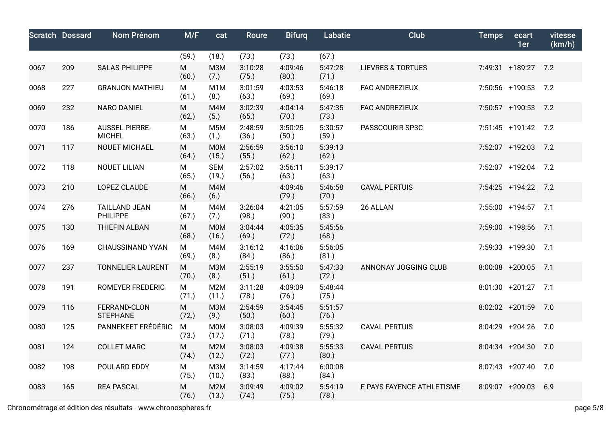|      | <b>Scratch Dossard</b> | Nom Prénom                             | M/F        | cat                      | <b>Roure</b>     | <b>Bifurg</b>    | Labatie          | Club                         | <b>Temps</b> | ecart<br>1er        | vitesse<br>(km/h) |
|------|------------------------|----------------------------------------|------------|--------------------------|------------------|------------------|------------------|------------------------------|--------------|---------------------|-------------------|
|      |                        |                                        | (59.)      | (18.)                    | (73.)            | (73.)            | (67.)            |                              |              |                     |                   |
| 0067 | 209                    | <b>SALAS PHILIPPE</b>                  | M<br>(60.) | <b>M3M</b><br>(7.)       | 3:10:28<br>(75.) | 4:09:46<br>(80.) | 5:47:28<br>(71.) | <b>LIEVRES &amp; TORTUES</b> |              | 7:49:31 +189:27 7.2 |                   |
| 0068 | 227                    | <b>GRANJON MATHIEU</b>                 | M<br>(61.) | M <sub>1</sub> M<br>(8.) | 3:01:59<br>(63.) | 4:03:53<br>(69.) | 5:46:18<br>(69.) | FAC ANDREZIEUX               |              | 7:50:56 +190:53 7.2 |                   |
| 0069 | 232                    | <b>NARO DANIEL</b>                     | M<br>(62.) | M4M<br>(5.)              | 3:02:39<br>(65.) | 4:04:14<br>(70.) | 5:47:35<br>(73.) | FAC ANDREZIEUX               |              | 7:50:57 +190:53 7.2 |                   |
| 0070 | 186                    | <b>AUSSEL PIERRE-</b><br><b>MICHEL</b> | M<br>(63.) | M <sub>5</sub> M<br>(1.) | 2:48:59<br>(36.) | 3:50:25<br>(50.) | 5:30:57<br>(59.) | PASSCOURIR SP3C              |              | 7:51:45 +191:42 7.2 |                   |
| 0071 | 117                    | NOUET MICHAEL                          | M<br>(64.) | <b>MOM</b><br>(15.)      | 2:56:59<br>(55.) | 3:56:10<br>(62.) | 5:39:13<br>(62.) |                              |              | 7:52:07 +192:03 7.2 |                   |
| 0072 | 118                    | <b>NOUET LILIAN</b>                    | М<br>(65.) | <b>SEM</b><br>(19.)      | 2:57:02<br>(56.) | 3:56:11<br>(63.) | 5:39:17<br>(63.) |                              |              | 7:52:07 +192:04 7.2 |                   |
| 0073 | 210                    | LOPEZ CLAUDE                           | M<br>(66.) | M4M<br>(6.)              |                  | 4:09:46<br>(79.) | 5:46:58<br>(70.) | <b>CAVAL PERTUIS</b>         |              | 7:54:25 +194:22 7.2 |                   |
| 0074 | 276                    | <b>TAILLAND JEAN</b><br>PHILIPPE       | M<br>(67.) | M4M<br>(7.)              | 3:26:04<br>(98.) | 4:21:05<br>(90.) | 5:57:59<br>(83.) | 26 ALLAN                     |              | 7:55:00 +194:57 7.1 |                   |
| 0075 | 130                    | <b>THIEFIN ALBAN</b>                   | M<br>(68.) | <b>M0M</b><br>(16.)      | 3:04:44<br>(69.) | 4:05:35<br>(72.) | 5:45:56<br>(68.) |                              |              | 7:59:00 +198:56     | 7.1               |
| 0076 | 169                    | <b>CHAUSSINAND YVAN</b>                | M<br>(69.) | M4M<br>(8.)              | 3:16:12<br>(84.) | 4:16:06<br>(86.) | 5:56:05<br>(81.) |                              |              | 7:59:33 +199:30 7.1 |                   |
| 0077 | 237                    | <b>TONNELIER LAURENT</b>               | M<br>(70.) | <b>M3M</b><br>(8.)       | 2:55:19<br>(51.) | 3:55:50<br>(61.) | 5:47:33<br>(72.) | ANNONAY JOGGING CLUB         |              | 8:00:08 +200:05 7.1 |                   |
| 0078 | 191                    | ROMEYER FREDERIC                       | М<br>(71.) | M2M<br>(11.)             | 3:11:28<br>(78.) | 4:09:09<br>(76.) | 5:48:44<br>(75.) |                              |              | 8:01:30 +201:27 7.1 |                   |
| 0079 | 116                    | FERRAND-CLON<br><b>STEPHANE</b>        | M<br>(72.) | <b>M3M</b><br>(9.)       | 2:54:59<br>(50.) | 3:54:45<br>(60.) | 5:51:57<br>(76.) |                              |              | $8:02:02$ +201:59   | 7.0               |
| 0080 | 125                    | PANNEKEET FRÉDÉRIC                     | M<br>(73.) | <b>M0M</b><br>(17.)      | 3:08:03<br>(71.) | 4:09:39<br>(78.) | 5:55:32<br>(79.) | <b>CAVAL PERTUIS</b>         |              | 8:04:29 +204:26 7.0 |                   |
| 0081 | 124                    | <b>COLLET MARC</b>                     | M<br>(74.) | M2M<br>(12.)             | 3:08:03<br>(72.) | 4:09:38<br>(77.) | 5:55:33<br>(80.) | <b>CAVAL PERTUIS</b>         |              | $8:04:34$ +204:30   | 7.0               |
| 0082 | 198                    | POULARD EDDY                           | M<br>(75.) | <b>МЗМ</b><br>(10.)      | 3:14:59<br>(83.) | 4:17:44<br>(88.) | 6:00:08<br>(84.) |                              |              | 8:07:43 +207:40 7.0 |                   |
| 0083 | 165                    | <b>REA PASCAL</b>                      | M<br>(76.) | M2M<br>(13.)             | 3:09:49<br>(74.) | 4:09:02<br>(75.) | 5:54:19<br>(78.) | E PAYS FAYENCE ATHLETISME    |              | 8:09:07 +209:03     | 6.9               |

Chronométrage et édition des résultats - www.chronospheres.fr page 5/8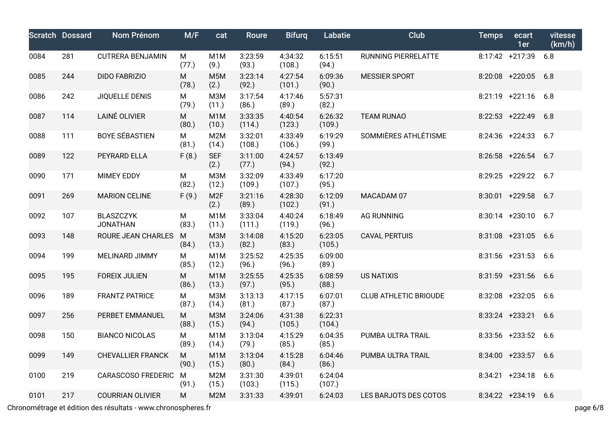|      | <b>Scratch Dossard</b> | Nom Prénom                          | M/F        | cat                       | <b>Roure</b>      | <b>Bifurg</b>     | Labatie           | <b>Club</b>                  | <b>Temps</b> | ecart<br>1er        | vitesse<br>(km/h) |
|------|------------------------|-------------------------------------|------------|---------------------------|-------------------|-------------------|-------------------|------------------------------|--------------|---------------------|-------------------|
| 0084 | 281                    | <b>CUTRERA BENJAMIN</b>             | М<br>(77.) | M <sub>1</sub> M<br>(9.)  | 3:23:59<br>(93.)  | 4:34:32<br>(108.) | 6:15:51<br>(94.)  | RUNNING PIERRELATTE          |              | 8:17:42 +217:39     | 6.8               |
| 0085 | 244                    | <b>DIDO FABRIZIO</b>                | M<br>(78.) | M <sub>5</sub> M<br>(2.)  | 3:23:14<br>(92.)  | 4:27:54<br>(101.) | 6:09:36<br>(90.)  | <b>MESSIER SPORT</b>         |              | 8:20:08 +220:05 6.8 |                   |
| 0086 | 242                    | JIQUELLE DENIS                      | M<br>(79.) | <b>МЗМ</b><br>(11.)       | 3:17:54<br>(86.)  | 4:17:46<br>(89.)  | 5:57:31<br>(82.)  |                              |              | 8:21:19 +221:16 6.8 |                   |
| 0087 | 114                    | LAINÉ OLIVIER                       | M<br>(80.) | M <sub>1</sub> M<br>(10.) | 3:33:35<br>(114.) | 4:40:54<br>(123.) | 6:26:32<br>(109.) | <b>TEAM RUNAO</b>            |              | $8:22:53$ +222:49   | 6.8               |
| 0088 | 111                    | <b>BOYE SÉBASTIEN</b>               | M<br>(81.) | M2M<br>(14.)              | 3:32:01<br>(108.) | 4:33:49<br>(106.) | 6:19:29<br>(99.)  | SOMMIÈRES ATHLÉTISME         |              | $8:24:36$ +224:33   | 6.7               |
| 0089 | 122                    | PEYRARD ELLA                        | F(8.)      | <b>SEF</b><br>(2.)        | 3:11:00<br>(77.)  | 4:24:57<br>(94.)  | 6:13:49<br>(92.)  |                              |              | $8:26:58$ +226:54   | 6.7               |
| 0090 | 171                    | <b>MIMEY EDDY</b>                   | M<br>(82.) | <b>МЗМ</b><br>(12.)       | 3:32:09<br>(109.) | 4:33:49<br>(107.) | 6:17:20<br>(95.)  |                              |              | 8:29:25 +229:22 6.7 |                   |
| 0091 | 269                    | <b>MARION CELINE</b>                | F(9.)      | M <sub>2F</sub><br>(2.)   | 3:21:16<br>(89.)  | 4:28:30<br>(102.) | 6:12:09<br>(91.)  | MACADAM 07                   |              | 8:30:01 +229:58     | 6.7               |
| 0092 | 107                    | <b>BLASZCZYK</b><br><b>JONATHAN</b> | М<br>(83.) | M <sub>1</sub> M<br>(11.) | 3:33:04<br>(111.) | 4:40:24<br>(119.) | 6:18:49<br>(96.)  | <b>AG RUNNING</b>            |              | $8:30:14$ +230:10   | 6.7               |
| 0093 | 148                    | ROURE JEAN CHARLES                  | M<br>(84.) | <b>МЗМ</b><br>(13.)       | 3:14:08<br>(82.)  | 4:15:20<br>(83.)  | 6:23:05<br>(105.) | <b>CAVAL PERTUIS</b>         |              | $8:31:08$ +231:05   | 6.6               |
| 0094 | 199                    | <b>MELINARD JIMMY</b>               | М<br>(85.) | M <sub>1</sub> M<br>(12.) | 3:25:52<br>(96.)  | 4:25:35<br>(96.)  | 6:09:00<br>(89.)  |                              |              | $8:31:56$ +231:53   | 6.6               |
| 0095 | 195                    | <b>FOREIX JULIEN</b>                | M<br>(86.) | M <sub>1</sub> M<br>(13.) | 3:25:55<br>(97.)  | 4:25:35<br>(95.)  | 6:08:59<br>(88.)  | <b>US NATIXIS</b>            |              | $8:31:59$ +231:56   | 6.6               |
| 0096 | 189                    | <b>FRANTZ PATRICE</b>               | м<br>(87.) | <b>МЗМ</b><br>(14.)       | 3:13:13<br>(81.)  | 4:17:15<br>(87.)  | 6:07:01<br>(87.)  | <b>CLUB ATHLETIC BRIOUDE</b> |              | 8:32:08 +232:05 6.6 |                   |
| 0097 | 256                    | PERBET EMMANUEL                     | M<br>(88.) | <b>M3M</b><br>(15.)       | 3:24:06<br>(94.)  | 4:31:38<br>(105.) | 6:22:31<br>(104.) |                              |              | $8:33:24$ +233:21   | 6.6               |
| 0098 | 150                    | <b>BIANCO NICOLAS</b>               | M<br>(89.) | M <sub>1</sub> M<br>(14.) | 3:13:04<br>(79.)  | 4:15:29<br>(85.)  | 6:04:35<br>(85.)  | PUMBA ULTRA TRAIL            |              | 8:33:56 +233:52 6.6 |                   |
| 0099 | 149                    | <b>CHEVALLIER FRANCK</b>            | M<br>(90.) | M <sub>1</sub> M<br>(15.) | 3:13:04<br>(80.)  | 4:15:28<br>(84.)  | 6:04:46<br>(86.)  | PUMBA ULTRA TRAIL            |              | 8:34:00 +233:57 6.6 |                   |
| 0100 | 219                    | <b>CARASCOSO FREDERIC</b>           | M<br>(91.) | M <sub>2</sub> M<br>(15.) | 3:31:30<br>(103.) | 4:39:01<br>(115.) | 6:24:04<br>(107.) |                              |              | 8:34:21 +234:18 6.6 |                   |
| 0101 | 217                    | <b>COURRIAN OLIVIER</b>             | M          | M <sub>2</sub> M          | 3:31:33           | 4:39:01           | 6:24:03           | LES BARJOTS DES COTOS        |              | 8:34:22 +234:19 6.6 |                   |

Chronométrage et édition des résultats - www.chronospheres.fr page 6/8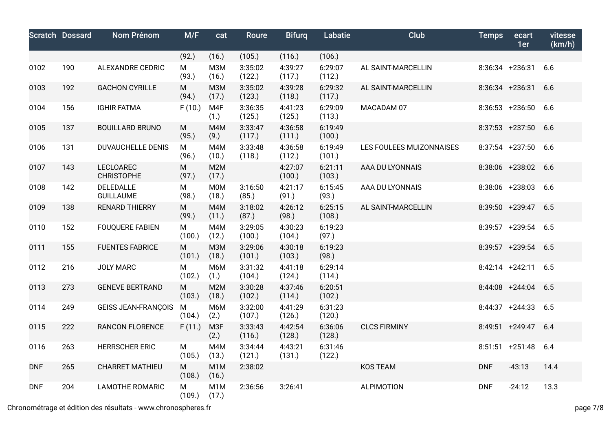|            | <b>Scratch Dossard</b> | Nom Prénom                            | M/F         | cat                       | Roure             | <b>Bifurg</b>     | Labatie           | Club                     | <b>Temps</b> | ecart<br>1er        | vitesse<br>(km/h) |
|------------|------------------------|---------------------------------------|-------------|---------------------------|-------------------|-------------------|-------------------|--------------------------|--------------|---------------------|-------------------|
|            |                        |                                       | (92.)       | (16.)                     | (105.)            | (116.)            | (106.)            |                          |              |                     |                   |
| 0102       | 190                    | <b>ALEXANDRE CEDRIC</b>               | M<br>(93.)  | M <sub>3</sub> M<br>(16.) | 3:35:02<br>(122.) | 4:39:27<br>(117.) | 6:29:07<br>(112.) | AL SAINT-MARCELLIN       |              | $8:36:34$ +236:31   | 6.6               |
| 0103       | 192                    | <b>GACHON CYRILLE</b>                 | M<br>(94.)  | <b>M3M</b><br>(17.)       | 3:35:02<br>(123.) | 4:39:28<br>(118.) | 6:29:32<br>(117.) | AL SAINT-MARCELLIN       |              | $8:36:34$ +236:31   | 6.6               |
| 0104       | 156                    | <b>IGHIR FATMA</b>                    | F(10.)      | M4F<br>(1.)               | 3:36:35<br>(125.) | 4:41:23<br>(125.) | 6:29:09<br>(113.) | MACADAM 07               |              | $8:36:53$ +236:50   | 6.6               |
| 0105       | 137                    | <b>BOUILLARD BRUNO</b>                | м<br>(95.)  | M4M<br>(9.)               | 3:33:47<br>(117.) | 4:36:58<br>(111.) | 6:19:49<br>(100.) |                          |              | $8:37:53$ +237:50   | 6.6               |
| 0106       | 131                    | <b>DUVAUCHELLE DENIS</b>              | М<br>(96.)  | M4M<br>(10.)              | 3:33:48<br>(118.) | 4:36:58<br>(112.) | 6:19:49<br>(101.) | LES FOULEES MUIZONNAISES |              | 8:37:54 +237:50 6.6 |                   |
| 0107       | 143                    | <b>LECLOAREC</b><br><b>CHRISTOPHE</b> | M<br>(97.)  | M2M<br>(17.)              |                   | 4:27:07<br>(100.) | 6:21:11<br>(103.) | AAA DU LYONNAIS          |              | 8:38:06 +238:02     | 6.6               |
| 0108       | 142                    | DELEDALLE<br><b>GUILLAUME</b>         | M<br>(98.)  | <b>M0M</b><br>(18.)       | 3:16:50<br>(85.)  | 4:21:17<br>(91.)  | 6:15:45<br>(93.)  | AAA DU LYONNAIS          |              | $8:38:06$ +238:03   | 6.6               |
| 0109       | 138                    | <b>RENARD THIERRY</b>                 | M<br>(99.)  | M4M<br>(11.)              | 3:18:02<br>(87.)  | 4:26:12<br>(98.)  | 6:25:15<br>(108.) | AL SAINT-MARCELLIN       |              | 8:39:50 +239:47     | 6.5               |
| 0110       | 152                    | <b>FOUQUERE FABIEN</b>                | М<br>(100.) | M4M<br>(12.)              | 3:29:05<br>(100.) | 4:30:23<br>(104.) | 6:19:23<br>(97.)  |                          |              | 8:39:57 +239:54 6.5 |                   |
| 0111       | 155                    | <b>FUENTES FABRICE</b>                | М<br>(101.) | M <sub>3</sub> M<br>(18.) | 3:29:06<br>(101.) | 4:30:18<br>(103.) | 6:19:23<br>(98.)  |                          |              | 8:39:57 +239:54 6.5 |                   |
| 0112       | 216                    | <b>JOLY MARC</b>                      | M<br>(102.) | M6M<br>(1.)               | 3:31:32<br>(104.) | 4:41:18<br>(124.) | 6:29:14<br>(114.) |                          |              | 8:42:14 +242:11 6.5 |                   |
| 0113       | 273                    | <b>GENEVE BERTRAND</b>                | M<br>(103.) | M2M<br>(18.)              | 3:30:28<br>(102.) | 4:37:46<br>(114.) | 6:20:51<br>(102.) |                          |              | $8:44:08$ +244:04   | 6.5               |
| 0114       | 249                    | <b>GEISS JEAN-FRANÇOIS</b>            | M<br>(104.) | M6M<br>(2.)               | 3:32:00<br>(107.) | 4:41:29<br>(126.) | 6:31:23<br>(120.) |                          |              | $8:44:37$ +244:33   | 6.5               |
| 0115       | 222                    | <b>RANCON FLORENCE</b>                | F(11.)      | M <sub>3F</sub><br>(2.)   | 3:33:43<br>(116.) | 4:42:54<br>(128.) | 6:36:06<br>(128.) | <b>CLCS FIRMINY</b>      |              | $8:49:51$ +249:47   | 6.4               |
| 0116       | 263                    | <b>HERRSCHER ERIC</b>                 | м<br>(105.) | M4M<br>(13.)              | 3:34:44<br>(121.) | 4:43:21<br>(131.) | 6:31:46<br>(122.) |                          |              | $8:51:51 + 251:48$  | 6.4               |
| <b>DNF</b> | 265                    | <b>CHARRET MATHIEU</b>                | M<br>(108.) | M <sub>1</sub> M<br>(16.) | 2:38:02           |                   |                   | <b>KOS TEAM</b>          | <b>DNF</b>   | $-43:13$            | 14.4              |
| <b>DNF</b> | 204                    | <b>LAMOTHE ROMARIC</b>                | M<br>(109.) | M <sub>1</sub> M<br>(17.) | 2:36:56           | 3:26:41           |                   | <b>ALPIMOTION</b>        | <b>DNF</b>   | $-24:12$            | 13.3              |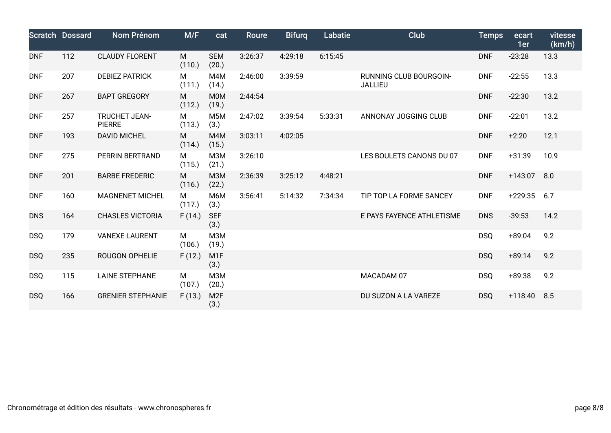|            | <b>Scratch Dossard</b> | Nom Prénom                     | M/F         | cat                      | Roure   | <b>Bifurg</b> | Labatie | <b>Club</b>                              | <b>Temps</b> | ecart<br>1er | vitesse<br>(km/h) |
|------------|------------------------|--------------------------------|-------------|--------------------------|---------|---------------|---------|------------------------------------------|--------------|--------------|-------------------|
| <b>DNF</b> | 112                    | <b>CLAUDY FLORENT</b>          | M<br>(110.) | <b>SEM</b><br>(20.)      | 3:26:37 | 4:29:18       | 6:15:45 |                                          | <b>DNF</b>   | $-23:28$     | 13.3              |
| <b>DNF</b> | 207                    | <b>DEBIEZ PATRICK</b>          | M<br>(111.) | M4M<br>(14.)             | 2:46:00 | 3:39:59       |         | RUNNING CLUB BOURGOIN-<br><b>JALLIEU</b> | <b>DNF</b>   | $-22:55$     | 13.3              |
| <b>DNF</b> | 267                    | <b>BAPT GREGORY</b>            | M<br>(112.) | <b>MOM</b><br>(19.)      | 2:44:54 |               |         |                                          | <b>DNF</b>   | $-22:30$     | 13.2              |
| <b>DNF</b> | 257                    | TRUCHET JEAN-<br><b>PIERRE</b> | М<br>(113.) | M <sub>5</sub> M<br>(3.) | 2:47:02 | 3:39:54       | 5:33:31 | ANNONAY JOGGING CLUB                     | <b>DNF</b>   | $-22:01$     | 13.2              |
| <b>DNF</b> | 193                    | <b>DAVID MICHEL</b>            | M<br>(114.) | M4M<br>(15.)             | 3:03:11 | 4:02:05       |         |                                          | <b>DNF</b>   | $+2:20$      | 12.1              |
| <b>DNF</b> | 275                    | PERRIN BERTRAND                | M<br>(115.) | <b>МЗМ</b><br>(21.)      | 3:26:10 |               |         | LES BOULETS CANONS DU 07                 | <b>DNF</b>   | $+31:39$     | 10.9              |
| <b>DNF</b> | 201                    | <b>BARBE FREDERIC</b>          | M<br>(116.) | <b>M3M</b><br>(22.)      | 2:36:39 | 3:25:12       | 4:48:21 |                                          | <b>DNF</b>   | $+143:07$    | 8.0               |
| <b>DNF</b> | 160                    | <b>MAGNENET MICHEL</b>         | М<br>(117.) | M6M<br>(3.)              | 3:56:41 | 5:14:32       | 7:34:34 | TIP TOP LA FORME SANCEY                  | <b>DNF</b>   | $+229:35$    | 6.7               |
| <b>DNS</b> | 164                    | <b>CHASLES VICTORIA</b>        | F(14.)      | <b>SEF</b><br>(3.)       |         |               |         | E PAYS FAYENCE ATHLETISME                | <b>DNS</b>   | $-39:53$     | 14.2              |
| <b>DSQ</b> | 179                    | <b>VANEXE LAURENT</b>          | М<br>(106.) | <b>МЗМ</b><br>(19.)      |         |               |         |                                          | <b>DSQ</b>   | $+89:04$     | 9.2               |
| <b>DSQ</b> | 235                    | <b>ROUGON OPHELIE</b>          | F(12.)      | M <sub>1</sub> F<br>(3.) |         |               |         |                                          | <b>DSQ</b>   | $+89:14$     | 9.2               |
| <b>DSQ</b> | 115                    | <b>LAINE STEPHANE</b>          | М<br>(107.) | <b>МЗМ</b><br>(20.)      |         |               |         | MACADAM 07                               | <b>DSQ</b>   | $+89:38$     | 9.2               |
| <b>DSQ</b> | 166                    | <b>GRENIER STEPHANIE</b>       | F(13.)      | M <sub>2F</sub><br>(3.)  |         |               |         | DU SUZON A LA VAREZE                     | <b>DSQ</b>   | $+118:40$    | 8.5               |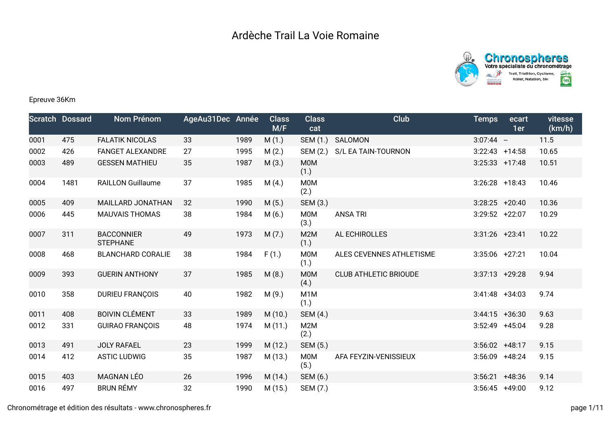



## Epreuve 36Km

|      | <b>Scratch Dossard</b> | Nom Prénom                           | AgeAu31Dec Année |      | <b>Class</b><br>M/F | <b>Class</b><br>cat      | Club                         | <b>Temps</b>      | ecart<br>1er | vitesse<br>(km/h) |
|------|------------------------|--------------------------------------|------------------|------|---------------------|--------------------------|------------------------------|-------------------|--------------|-------------------|
| 0001 | 475                    | <b>FALATIK NICOLAS</b>               | 33               | 1989 | M(1.)               | SEM (1.)                 | SALOMON                      | $3:07:44 -$       |              | 11.5              |
| 0002 | 426                    | <b>FANGET ALEXANDRE</b>              | 27               | 1995 | M(2.)               | SEM (2.)                 | S/L EA TAIN-TOURNON          | 3:22:43           | $+14:58$     | 10.65             |
| 0003 | 489                    | <b>GESSEN MATHIEU</b>                | 35               | 1987 | M(3.)               | <b>M0M</b><br>(1.)       |                              | $3:25:33$ +17:48  |              | 10.51             |
| 0004 | 1481                   | <b>RAILLON Guillaume</b>             | 37               | 1985 | M(4.)               | <b>M0M</b><br>(2.)       |                              | $3:26:28$ +18:43  |              | 10.46             |
| 0005 | 409                    | MAILLARD JONATHAN                    | 32               | 1990 | M(5.)               | SEM (3.)                 |                              | $3:28:25$ +20:40  |              | 10.36             |
| 0006 | 445                    | <b>MAUVAIS THOMAS</b>                | 38               | 1984 | M(6.)               | <b>M0M</b><br>(3.)       | <b>ANSA TRI</b>              | $3:29:52 +22:07$  |              | 10.29             |
| 0007 | 311                    | <b>BACCONNIER</b><br><b>STEPHANE</b> | 49               | 1973 | M(7.)               | M2M<br>(1.)              | AL ECHIROLLES                | $3:31:26$ +23:41  |              | 10.22             |
| 0008 | 468                    | <b>BLANCHARD CORALIE</b>             | 38               | 1984 | F(1.)               | <b>M0M</b><br>(1.)       | ALES CEVENNES ATHLETISME     | $3:35:06$ +27:21  |              | 10.04             |
| 0009 | 393                    | <b>GUERIN ANTHONY</b>                | 37               | 1985 | M(8.)               | <b>M0M</b><br>(4.)       | <b>CLUB ATHLETIC BRIOUDE</b> | $3:37:13 + 29:28$ |              | 9.94              |
| 0010 | 358                    | <b>DURIEU FRANÇOIS</b>               | 40               | 1982 | M(9.)               | M <sub>1</sub> M<br>(1.) |                              | $3:41:48$ +34:03  |              | 9.74              |
| 0011 | 408                    | <b>BOIVIN CLÉMENT</b>                | 33               | 1989 | M(10.)              | SEM (4.)                 |                              | $3:44:15$ +36:30  |              | 9.63              |
| 0012 | 331                    | <b>GUIRAO FRANÇOIS</b>               | 48               | 1974 | M(11.)              | M2M<br>(2.)              |                              | 3:52:49           | $+45:04$     | 9.28              |
| 0013 | 491                    | <b>JOLY RAFAEL</b>                   | 23               | 1999 | M(12.)              | SEM (5.)                 |                              | $3:56:02 +48:17$  |              | 9.15              |
| 0014 | 412                    | <b>ASTIC LUDWIG</b>                  | 35               | 1987 | M (13.)             | M0M<br>(5.)              | AFA FEYZIN-VENISSIEUX        | 3:56:09           | $+48:24$     | 9.15              |
| 0015 | 403                    | <b>MAGNAN LÉO</b>                    | 26               | 1996 | M (14.)             | SEM (6.)                 |                              | 3:56:21           | $+48:36$     | 9.14              |
| 0016 | 497                    | <b>BRUN RÉMY</b>                     | 32               | 1990 | M(15.)              | SEM (7.)                 |                              | $3:56:45$ +49:00  |              | 9.12              |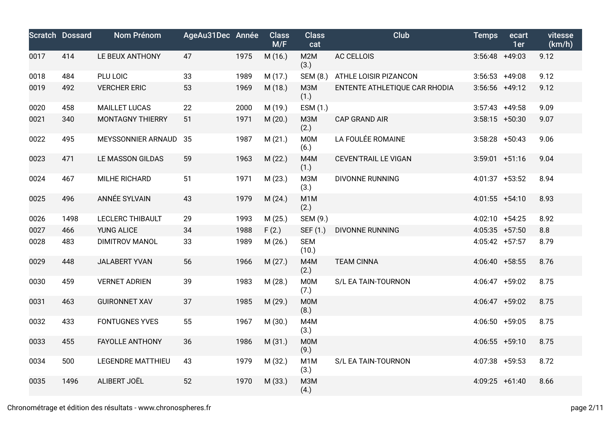|      | <b>Scratch Dossard</b> | Nom Prénom               | AgeAu31Dec Année |      | <b>Class</b><br>M/F | <b>Class</b><br>cat      | Club                          | <b>Temps</b>      | ecart<br>1er | vitesse<br>(km/h) |
|------|------------------------|--------------------------|------------------|------|---------------------|--------------------------|-------------------------------|-------------------|--------------|-------------------|
| 0017 | 414                    | LE BEUX ANTHONY          | 47               | 1975 | M (16.)             | M2M<br>(3.)              | AC CELLOIS                    | $3:56:48$ +49:03  |              | 9.12              |
| 0018 | 484                    | PLU LOIC                 | 33               | 1989 | M(17.)              | SEM (8.)                 | ATHLE LOISIR PIZANCON         | $3:56:53$ +49:08  |              | 9.12              |
| 0019 | 492                    | <b>VERCHER ERIC</b>      | 53               | 1969 | M (18.)             | <b>МЗМ</b><br>(1.)       | ENTENTE ATHLETIQUE CAR RHODIA | $3:56:56$ +49:12  |              | 9.12              |
| 0020 | 458                    | <b>MAILLET LUCAS</b>     | 22               | 2000 | M (19.)             | ESM (1.)                 |                               | $3:57:43$ +49:58  |              | 9.09              |
| 0021 | 340                    | <b>MONTAGNY THIERRY</b>  | 51               | 1971 | M(20.)              | M3M<br>(2.)              | <b>CAP GRAND AIR</b>          | $3:58:15 + 50:30$ |              | 9.07              |
| 0022 | 495                    | MEYSSONNIER ARNAUD       | 35               | 1987 | M(21.)              | <b>MOM</b><br>(6.)       | LA FOULÉE ROMAINE             | $3:58:28$ +50:43  |              | 9.06              |
| 0023 | 471                    | LE MASSON GILDAS         | 59               | 1963 | M(22.)              | M4M<br>(1.)              | <b>CEVEN'TRAIL LE VIGAN</b>   | $3:59:01 +51:16$  |              | 9.04              |
| 0024 | 467                    | MILHE RICHARD            | 51               | 1971 | M(23.)              | M3M<br>(3.)              | <b>DIVONNE RUNNING</b>        | 4:01:37 +53:52    |              | 8.94              |
| 0025 | 496                    | ANNÉE SYLVAIN            | 43               | 1979 | M(24.)              | M1M<br>(2.)              |                               | $4:01:55$ +54:10  |              | 8.93              |
| 0026 | 1498                   | <b>LECLERC THIBAULT</b>  | 29               | 1993 | M(25.)              | SEM (9.)                 |                               | $4:02:10 +54:25$  |              | 8.92              |
| 0027 | 466                    | <b>YUNG ALICE</b>        | 34               | 1988 | F(2.)               | SEF (1.)                 | DIVONNE RUNNING               | $4:05:35$ +57:50  |              | 8.8               |
| 0028 | 483                    | <b>DIMITROV MANOL</b>    | 33               | 1989 | M(26.)              | <b>SEM</b><br>(10.)      |                               | 4:05:42 +57:57    |              | 8.79              |
| 0029 | 448                    | <b>JALABERT YVAN</b>     | 56               | 1966 | M(27.)              | M4M<br>(2.)              | <b>TEAM CINNA</b>             | 4:06:40 +58:55    |              | 8.76              |
| 0030 | 459                    | <b>VERNET ADRIEN</b>     | 39               | 1983 | M(28.)              | <b>MOM</b><br>(7.)       | S/L EA TAIN-TOURNON           | 4:06:47 +59:02    |              | 8.75              |
| 0031 | 463                    | <b>GUIRONNET XAV</b>     | 37               | 1985 | M (29.)             | M0M<br>(8.)              |                               | 4:06:47 +59:02    |              | 8.75              |
| 0032 | 433                    | <b>FONTUGNES YVES</b>    | 55               | 1967 | M(30.)              | M4M<br>(3.)              |                               | 4:06:50 +59:05    |              | 8.75              |
| 0033 | 455                    | <b>FAYOLLE ANTHONY</b>   | 36               | 1986 | M(31.)              | M0M<br>(9.)              |                               | $4:06:55$ +59:10  |              | 8.75              |
| 0034 | 500                    | <b>LEGENDRE MATTHIEU</b> | 43               | 1979 | M (32.)             | M <sub>1</sub> M<br>(3.) | S/L EA TAIN-TOURNON           | 4:07:38 +59:53    |              | 8.72              |
| 0035 | 1496                   | ALIBERT JOËL             | 52               | 1970 | M (33.)             | <b>МЗМ</b><br>(4.)       |                               | 4:09:25 +61:40    |              | 8.66              |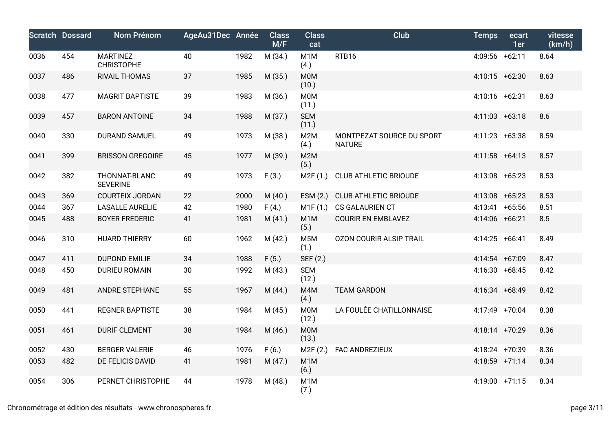|      | <b>Scratch Dossard</b> | Nom Prénom                           | AgeAu31Dec Année |      | <b>Class</b><br>M/F | <b>Class</b><br>cat      | <b>Club</b>                                | <b>Temps</b>     | ecart<br>1er | vitesse<br>(km/h) |
|------|------------------------|--------------------------------------|------------------|------|---------------------|--------------------------|--------------------------------------------|------------------|--------------|-------------------|
| 0036 | 454                    | <b>MARTINEZ</b><br><b>CHRISTOPHE</b> | 40               | 1982 | M (34.)             | M <sub>1</sub> M<br>(4.) | RTB16                                      | 4:09:56 +62:11   |              | 8.64              |
| 0037 | 486                    | RIVAIL THOMAS                        | 37               | 1985 | M (35.)             | <b>MOM</b><br>(10.)      |                                            | 4:10:15 +62:30   |              | 8.63              |
| 0038 | 477                    | <b>MAGRIT BAPTISTE</b>               | 39               | 1983 | M (36.)             | M0M<br>(11.)             |                                            | 4:10:16 +62:31   |              | 8.63              |
| 0039 | 457                    | <b>BARON ANTOINE</b>                 | 34               | 1988 | M (37.)             | <b>SEM</b><br>(11.)      |                                            | $4:11:03$ +63:18 |              | 8.6               |
| 0040 | 330                    | <b>DURAND SAMUEL</b>                 | 49               | 1973 | M (38.)             | M2M<br>(4.)              | MONTPEZAT SOURCE DU SPORT<br><b>NATURE</b> | 4:11:23 +63:38   |              | 8.59              |
| 0041 | 399                    | <b>BRISSON GREGOIRE</b>              | 45               | 1977 | M (39.)             | M2M<br>(5.)              |                                            | $4:11:58$ +64:13 |              | 8.57              |
| 0042 | 382                    | THONNAT-BLANC<br><b>SEVERINE</b>     | 49               | 1973 | F(3.)               | M2F (1.)                 | <b>CLUB ATHLETIC BRIOUDE</b>               | 4:13:08 +65:23   |              | 8.53              |
| 0043 | 369                    | <b>COURTEIX JORDAN</b>               | 22               | 2000 | M(40.)              | ESM(2.)                  | <b>CLUB ATHLETIC BRIOUDE</b>               | $4:13:08$ +65:23 |              | 8.53              |
| 0044 | 367                    | <b>LASALLE AURELIE</b>               | 42               | 1980 | F(4.)               | M1F(1.)                  | CS GALAURIEN CT                            | 4:13:41 +65:56   |              | 8.51              |
| 0045 | 488                    | <b>BOYER FREDERIC</b>                | 41               | 1981 | M(41.)              | M <sub>1</sub> M<br>(5.) | <b>COURIR EN EMBLAVEZ</b>                  | 4:14:06 +66:21   |              | 8.5               |
| 0046 | 310                    | <b>HUARD THIERRY</b>                 | 60               | 1962 | M(42.)              | M <sub>5</sub> M<br>(1.) | <b>OZON COURIR ALSIP TRAIL</b>             | 4:14:25 +66:41   |              | 8.49              |
| 0047 | 411                    | <b>DUPOND EMILIE</b>                 | 34               | 1988 | F(5.)               | SEF (2.)                 |                                            | 4:14:54 +67:09   |              | 8.47              |
| 0048 | 450                    | <b>DURIEU ROMAIN</b>                 | 30               | 1992 | M(43.)              | <b>SEM</b><br>(12.)      |                                            | 4:16:30 +68:45   |              | 8.42              |
| 0049 | 481                    | ANDRE STEPHANE                       | 55               | 1967 | M(44.)              | M4M<br>(4.)              | <b>TEAM GARDON</b>                         | 4:16:34 +68:49   |              | 8.42              |
| 0050 | 441                    | <b>REGNER BAPTISTE</b>               | 38               | 1984 | M(45.)              | <b>MOM</b><br>(12.)      | LA FOULÉE CHATILLONNAISE                   | 4:17:49 +70:04   |              | 8.38              |
| 0051 | 461                    | <b>DURIF CLEMENT</b>                 | 38               | 1984 | M(46.)              | M0M<br>(13.)             |                                            | 4:18:14 +70:29   |              | 8.36              |
| 0052 | 430                    | <b>BERGER VALERIE</b>                | 46               | 1976 | F(6.)               | M2F(2.)                  | FAC ANDREZIEUX                             | 4:18:24 +70:39   |              | 8.36              |
| 0053 | 482                    | DE FELICIS DAVID                     | 41               | 1981 | M(47.)              | M <sub>1</sub> M<br>(6.) |                                            | 4:18:59 +71:14   |              | 8.34              |
| 0054 | 306                    | PERNET CHRISTOPHE                    | 44               | 1978 | M(48.)              | M <sub>1</sub> M<br>(7.) |                                            | 4:19:00 +71:15   |              | 8.34              |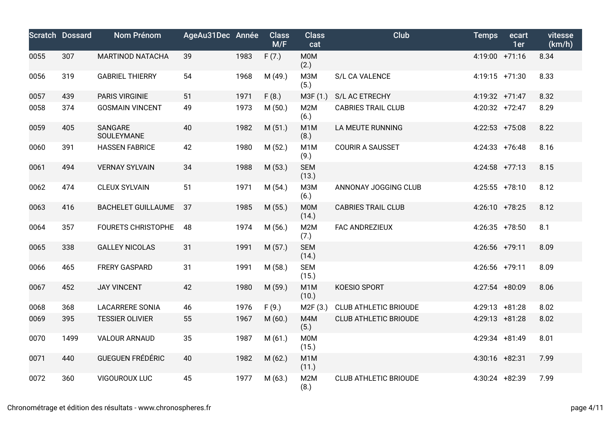|      | <b>Scratch Dossard</b> | Nom Prénom                | AgeAu31Dec Année |      | <b>Class</b><br>M/F | <b>Class</b><br>cat       | <b>Club</b>                  | <b>Temps</b>     | ecart<br>1er | vitesse<br>(km/h) |
|------|------------------------|---------------------------|------------------|------|---------------------|---------------------------|------------------------------|------------------|--------------|-------------------|
| 0055 | 307                    | <b>MARTINOD NATACHA</b>   | 39               | 1983 | F(7.)               | <b>M0M</b><br>(2.)        |                              | 4:19:00 +71:16   |              | 8.34              |
| 0056 | 319                    | <b>GABRIEL THIERRY</b>    | 54               | 1968 | M (49.)             | <b>МЗМ</b><br>(5.)        | S/L CA VALENCE               | 4:19:15 +71:30   |              | 8.33              |
| 0057 | 439                    | PARIS VIRGINIE            | 51               | 1971 | F(8.)               | M3F (1.)                  | S/L AC ETRECHY               | 4:19:32 +71:47   |              | 8.32              |
| 0058 | 374                    | <b>GOSMAIN VINCENT</b>    | 49               | 1973 | M(50.)              | M <sub>2</sub> M<br>(6.)  | <b>CABRIES TRAIL CLUB</b>    | $4:20:32$ +72:47 |              | 8.29              |
| 0059 | 405                    | SANGARE<br>SOULEYMANE     | 40               | 1982 | M(51.)              | M <sub>1</sub> M<br>(8.)  | LA MEUTE RUNNING             | $4:22:53$ +75:08 |              | 8.22              |
| 0060 | 391                    | <b>HASSEN FABRICE</b>     | 42               | 1980 | M(52.)              | M <sub>1</sub> M<br>(9.)  | <b>COURIR A SAUSSET</b>      | $4:24:33$ +76:48 |              | 8.16              |
| 0061 | 494                    | <b>VERNAY SYLVAIN</b>     | 34               | 1988 | M(53.)              | <b>SEM</b><br>(13.)       |                              | $4:24:58$ +77:13 |              | 8.15              |
| 0062 | 474                    | <b>CLEUX SYLVAIN</b>      | 51               | 1971 | M(54.)              | <b>M3M</b><br>(6.)        | ANNONAY JOGGING CLUB         | 4:25:55 +78:10   |              | 8.12              |
| 0063 | 416                    | <b>BACHELET GUILLAUME</b> | 37               | 1985 | M(55.)              | <b>MOM</b><br>(14.)       | <b>CABRIES TRAIL CLUB</b>    | 4:26:10 +78:25   |              | 8.12              |
| 0064 | 357                    | <b>FOURETS CHRISTOPHE</b> | 48               | 1974 | M (56.)             | M <sub>2</sub> M<br>(7.)  | FAC ANDREZIEUX               | $4:26:35$ +78:50 |              | 8.1               |
| 0065 | 338                    | <b>GALLEY NICOLAS</b>     | 31               | 1991 | M(57.)              | <b>SEM</b><br>(14.)       |                              | 4:26:56 +79:11   |              | 8.09              |
| 0066 | 465                    | <b>FRERY GASPARD</b>      | 31               | 1991 | M(58.)              | <b>SEM</b><br>(15.)       |                              | 4:26:56 +79:11   |              | 8.09              |
| 0067 | 452                    | <b>JAY VINCENT</b>        | 42               | 1980 | M (59.)             | M <sub>1</sub> M<br>(10.) | KOESIO SPORT                 | 4:27:54 +80:09   |              | 8.06              |
| 0068 | 368                    | <b>LACARRERE SONIA</b>    | 46               | 1976 | F(9.)               | M2F (3.)                  | <b>CLUB ATHLETIC BRIOUDE</b> | $4:29:13$ +81:28 |              | 8.02              |
| 0069 | 395                    | <b>TESSIER OLIVIER</b>    | 55               | 1967 | M(60.)              | M4M<br>(5.)               | <b>CLUB ATHLETIC BRIOUDE</b> | 4:29:13 +81:28   |              | 8.02              |
| 0070 | 1499                   | <b>VALOUR ARNAUD</b>      | 35               | 1987 | M(61.)              | <b>M0M</b><br>(15.)       |                              | 4:29:34 +81:49   |              | 8.01              |
| 0071 | 440                    | <b>GUEGUEN FRÉDÉRIC</b>   | 40               | 1982 | M(62.)              | M <sub>1</sub> M<br>(11.) |                              | 4:30:16 +82:31   |              | 7.99              |
| 0072 | 360                    | <b>VIGOUROUX LUC</b>      | 45               | 1977 | M(63.)              | M <sub>2</sub> M<br>(8.)  | <b>CLUB ATHLETIC BRIOUDE</b> | 4:30:24 +82:39   |              | 7.99              |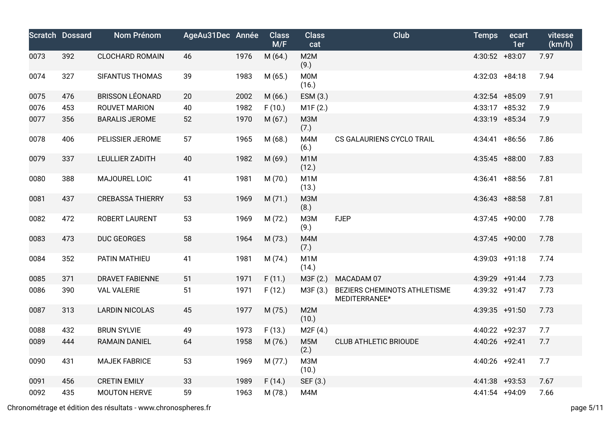|      | <b>Scratch Dossard</b> | Nom Prénom              | AgeAu31Dec Année |      | <b>Class</b><br>M/F | <b>Class</b><br>cat       | <b>Club</b>                                   | <b>Temps</b>     | ecart<br>1er | vitesse<br>(km/h) |
|------|------------------------|-------------------------|------------------|------|---------------------|---------------------------|-----------------------------------------------|------------------|--------------|-------------------|
| 0073 | 392                    | <b>CLOCHARD ROMAIN</b>  | 46               | 1976 | M(64)               | M2M<br>(9.)               |                                               | 4:30:52 +83:07   |              | 7.97              |
| 0074 | 327                    | <b>SIFANTUS THOMAS</b>  | 39               | 1983 | M(65.)              | <b>M0M</b><br>(16.)       |                                               | $4:32:03$ +84:18 |              | 7.94              |
| 0075 | 476                    | <b>BRISSON LÉONARD</b>  | 20               | 2002 | M (66.)             | ESM (3.)                  |                                               | 4:32:54 +85:09   |              | 7.91              |
| 0076 | 453                    | <b>ROUVET MARION</b>    | 40               | 1982 | F(10.)              | M1F(2.)                   |                                               | 4:33:17 +85:32   |              | 7.9               |
| 0077 | 356                    | <b>BARALIS JEROME</b>   | 52               | 1970 | M (67.)             | <b>МЗМ</b><br>(7.)        |                                               | 4:33:19 +85:34   |              | 7.9               |
| 0078 | 406                    | PELISSIER JEROME        | 57               | 1965 | M(68.)              | M4M<br>(6.)               | CS GALAURIENS CYCLO TRAIL                     | 4:34:41 +86:56   |              | 7.86              |
| 0079 | 337                    | <b>LEULLIER ZADITH</b>  | 40               | 1982 | M (69.)             | M <sub>1</sub> M<br>(12.) |                                               | 4:35:45 +88:00   |              | 7.83              |
| 0080 | 388                    | MAJOUREL LOIC           | 41               | 1981 | M (70.)             | M <sub>1</sub> M<br>(13.) |                                               | $4:36:41$ +88:56 |              | 7.81              |
| 0081 | 437                    | <b>CREBASSA THIERRY</b> | 53               | 1969 | M(71.)              | <b>МЗМ</b><br>(8.)        |                                               | $4:36:43$ +88:58 |              | 7.81              |
| 0082 | 472                    | ROBERT LAURENT          | 53               | 1969 | M(72.)              | <b>МЗМ</b><br>(9.)        | <b>FJEP</b>                                   | 4:37:45 +90:00   |              | 7.78              |
| 0083 | 473                    | <b>DUC GEORGES</b>      | 58               | 1964 | M (73.)             | M4M<br>(7.)               |                                               | 4:37:45 +90:00   |              | 7.78              |
| 0084 | 352                    | PATIN MATHIEU           | 41               | 1981 | M(74.)              | M <sub>1</sub> M<br>(14.) |                                               | 4:39:03 +91:18   |              | 7.74              |
| 0085 | 371                    | <b>DRAVET FABIENNE</b>  | 51               | 1971 | F(11.)              | M3F (2.)                  | MACADAM 07                                    | 4:39:29 +91:44   |              | 7.73              |
| 0086 | 390                    | <b>VAL VALERIE</b>      | 51               | 1971 | F(12.)              | M3F (3.)                  | BEZIERS CHEMINOTS ATHLETISME<br>MEDITERRANEE* | 4:39:32 +91:47   |              | 7.73              |
| 0087 | 313                    | <b>LARDIN NICOLAS</b>   | 45               | 1977 | M (75.)             | M2M<br>(10.)              |                                               | 4:39:35 +91:50   |              | 7.73              |
| 0088 | 432                    | <b>BRUN SYLVIE</b>      | 49               | 1973 | F(13.)              | M2F (4.)                  |                                               | 4:40:22 +92:37   |              | 7.7               |
| 0089 | 444                    | <b>RAMAIN DANIEL</b>    | 64               | 1958 | M (76.)             | M <sub>5</sub> M<br>(2.)  | <b>CLUB ATHLETIC BRIOUDE</b>                  | 4:40:26 +92:41   |              | 7.7               |
| 0090 | 431                    | <b>MAJEK FABRICE</b>    | 53               | 1969 | M(77.)              | <b>МЗМ</b><br>(10.)       |                                               | 4:40:26 +92:41   |              | 7.7               |
| 0091 | 456                    | <b>CRETIN EMILY</b>     | 33               | 1989 | F(14.)              | SEF (3.)                  |                                               | 4:41:38 +93:53   |              | 7.67              |
| 0092 | 435                    | <b>MOUTON HERVE</b>     | 59               | 1963 | M (78.)             | M4M                       |                                               | 4:41:54 +94:09   |              | 7.66              |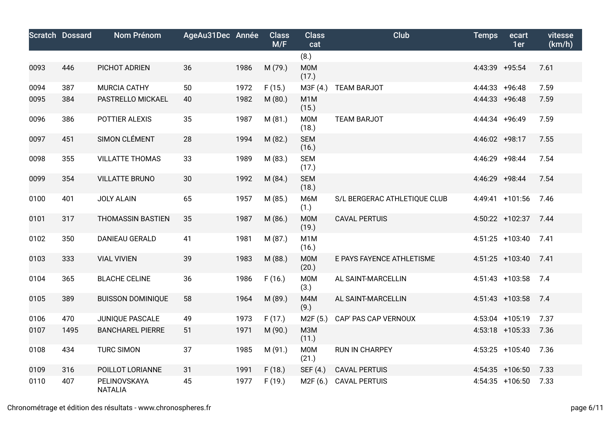|      | <b>Scratch Dossard</b> | Nom Prénom                     | AgeAu31Dec Année |      | <b>Class</b><br>M/F | <b>Class</b><br>cat       | <b>Club</b>                  | <b>Temps</b>     | ecart<br>1er      | vitesse<br>(km/h) |
|------|------------------------|--------------------------------|------------------|------|---------------------|---------------------------|------------------------------|------------------|-------------------|-------------------|
|      |                        |                                |                  |      |                     | (8.)                      |                              |                  |                   |                   |
| 0093 | 446                    | PICHOT ADRIEN                  | 36               | 1986 | M (79.)             | <b>M0M</b><br>(17.)       |                              | 4:43:39 +95:54   |                   | 7.61              |
| 0094 | 387                    | MURCIA CATHY                   | 50               | 1972 | F(15.)              | M3F(4.)                   | <b>TEAM BARJOT</b>           | 4:44:33 +96:48   |                   | 7.59              |
| 0095 | 384                    | PASTRELLO MICKAEL              | 40               | 1982 | M(80.)              | M <sub>1</sub> M<br>(15.) |                              | $4:44:33$ +96:48 |                   | 7.59              |
| 0096 | 386                    | POTTIER ALEXIS                 | 35               | 1987 | M(81.)              | M0M<br>(18.)              | <b>TEAM BARJOT</b>           | 4:44:34 +96:49   |                   | 7.59              |
| 0097 | 451                    | SIMON CLÉMENT                  | 28               | 1994 | M(82.)              | <b>SEM</b><br>(16.)       |                              | 4:46:02 +98:17   |                   | 7.55              |
| 0098 | 355                    | <b>VILLATTE THOMAS</b>         | 33               | 1989 | M (83.)             | <b>SEM</b><br>(17.)       |                              | 4:46:29 +98:44   |                   | 7.54              |
| 0099 | 354                    | <b>VILLATTE BRUNO</b>          | 30               | 1992 | M(84.)              | <b>SEM</b><br>(18.)       |                              | 4:46:29 +98:44   |                   | 7.54              |
| 0100 | 401                    | <b>JOLY ALAIN</b>              | 65               | 1957 | M(85.)              | M6M<br>(1.)               | S/L BERGERAC ATHLETIQUE CLUB |                  | 4:49:41 +101:56   | 7.46              |
| 0101 | 317                    | <b>THOMASSIN BASTIEN</b>       | 35               | 1987 | M(86.)              | <b>MOM</b><br>(19.)       | <b>CAVAL PERTUIS</b>         |                  | 4:50:22 +102:37   | 7.44              |
| 0102 | 350                    | <b>DANIEAU GERALD</b>          | 41               | 1981 | M(87.)              | M <sub>1</sub> M<br>(16.) |                              |                  | $4:51:25$ +103:40 | 7.41              |
| 0103 | 333                    | <b>VIAL VIVIEN</b>             | 39               | 1983 | M (88.)             | M0M<br>(20.)              | E PAYS FAYENCE ATHLETISME    |                  | 4:51:25 +103:40   | 7.41              |
| 0104 | 365                    | <b>BLACHE CELINE</b>           | 36               | 1986 | F(16.)              | M0M<br>(3.)               | AL SAINT-MARCELLIN           |                  | 4:51:43 +103:58   | 7.4               |
| 0105 | 389                    | <b>BUISSON DOMINIQUE</b>       | 58               | 1964 | M (89.)             | M4M<br>(9.)               | AL SAINT-MARCELLIN           |                  | 4:51:43 +103:58   | 7.4               |
| 0106 | 470                    | JUNIQUE PASCALE                | 49               | 1973 | F(17.)              | M2F (5.)                  | CAP' PAS CAP VERNOUX         |                  | 4:53:04 +105:19   | 7.37              |
| 0107 | 1495                   | <b>BANCHAREL PIERRE</b>        | 51               | 1971 | M (90.)             | <b>МЗМ</b><br>(11.)       |                              |                  | 4:53:18 +105:33   | 7.36              |
| 0108 | 434                    | <b>TURC SIMON</b>              | 37               | 1985 | M (91.)             | M0M<br>(21.)              | <b>RUN IN CHARPEY</b>        |                  | 4:53:25 +105:40   | 7.36              |
| 0109 | 316                    | POILLOT LORIANNE               | 31               | 1991 | F(18.)              | SEF (4.)                  | <b>CAVAL PERTUIS</b>         |                  | 4:54:35 +106:50   | 7.33              |
| 0110 | 407                    | PELINOVSKAYA<br><b>NATALIA</b> | 45               | 1977 | F(19.)              | M2F (6.)                  | <b>CAVAL PERTUIS</b>         |                  | $4:54:35$ +106:50 | 7.33              |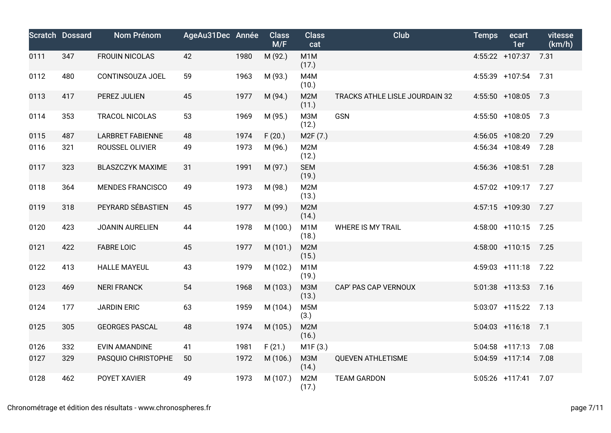|      | <b>Scratch Dossard</b> | <b>Nom Prénom</b>       | AgeAu31Dec Année |      | <b>Class</b><br>M/F | <b>Class</b><br>cat       | Club                           | <b>Temps</b> | ecart<br>1er      | vitesse<br>(km/h) |
|------|------------------------|-------------------------|------------------|------|---------------------|---------------------------|--------------------------------|--------------|-------------------|-------------------|
| 0111 | 347                    | <b>FROUIN NICOLAS</b>   | 42               | 1980 | M (92.)             | M <sub>1</sub> M<br>(17.) |                                |              | 4:55:22 +107:37   | 7.31              |
| 0112 | 480                    | CONTINSOUZA JOEL        | 59               | 1963 | M (93.)             | M4M<br>(10.)              |                                |              | 4:55:39 +107:54   | 7.31              |
| 0113 | 417                    | PEREZ JULIEN            | 45               | 1977 | M (94.)             | M2M<br>(11.)              | TRACKS ATHLE LISLE JOURDAIN 32 |              | 4:55:50 +108:05   | 7.3               |
| 0114 | 353                    | <b>TRACOL NICOLAS</b>   | 53               | 1969 | M (95.)             | M3M<br>(12.)              | <b>GSN</b>                     |              | 4:55:50 +108:05   | 7.3               |
| 0115 | 487                    | <b>LARBRET FABIENNE</b> | 48               | 1974 | F(20.)              | M <sub>2</sub> F (7.)     |                                |              | 4:56:05 +108:20   | 7.29              |
| 0116 | 321                    | ROUSSEL OLIVIER         | 49               | 1973 | M (96.)             | M2M<br>(12.)              |                                |              | 4:56:34 +108:49   | 7.28              |
| 0117 | 323                    | <b>BLASZCZYK MAXIME</b> | 31               | 1991 | M (97.)             | <b>SEM</b><br>(19.)       |                                |              | 4:56:36 +108:51   | 7.28              |
| 0118 | 364                    | <b>MENDES FRANCISCO</b> | 49               | 1973 | M (98.)             | M2M<br>(13.)              |                                |              | 4:57:02 +109:17   | 7.27              |
| 0119 | 318                    | PEYRARD SÉBASTIEN       | 45               | 1977 | M (99.)             | M2M<br>(14.)              |                                |              | 4:57:15 +109:30   | 7.27              |
| 0120 | 423                    | <b>JOANIN AURELIEN</b>  | 44               | 1978 | M (100.)            | M <sub>1</sub> M<br>(18.) | <b>WHERE IS MY TRAIL</b>       |              | 4:58:00 +110:15   | 7.25              |
| 0121 | 422                    | <b>FABRE LOIC</b>       | 45               | 1977 | M (101.)            | M2M<br>(15.)              |                                |              | 4:58:00 +110:15   | 7.25              |
| 0122 | 413                    | <b>HALLE MAYEUL</b>     | 43               | 1979 | M (102.)            | M <sub>1</sub> M<br>(19.) |                                |              | $4:59:03$ +111:18 | 7.22              |
| 0123 | 469                    | <b>NERI FRANCK</b>      | 54               | 1968 | M (103.)            | <b>МЗМ</b><br>(13.)       | CAP' PAS CAP VERNOUX           |              | $5:01:38$ +113:53 | 7.16              |
| 0124 | 177                    | <b>JARDIN ERIC</b>      | 63               | 1959 | M (104.)            | M <sub>5</sub> M<br>(3.)  |                                |              | 5:03:07 +115:22   | 7.13              |
| 0125 | 305                    | <b>GEORGES PASCAL</b>   | 48               | 1974 | M (105.)            | M <sub>2</sub> M<br>(16.) |                                |              | $5:04:03$ +116:18 | 7.1               |
| 0126 | 332                    | <b>EVIN AMANDINE</b>    | 41               | 1981 | F(21.)              | M1F(3.)                   |                                |              | $5:04:58$ +117:13 | 7.08              |
| 0127 | 329                    | PASQUIO CHRISTOPHE      | 50               | 1972 | M (106.)            | <b>МЗМ</b><br>(14.)       | <b>QUEVEN ATHLETISME</b>       |              | $5:04:59$ +117:14 | 7.08              |
| 0128 | 462                    | POYET XAVIER            | 49               | 1973 | M (107.)            | M2M<br>(17.)              | <b>TEAM GARDON</b>             |              | $5:05:26$ +117:41 | 7.07              |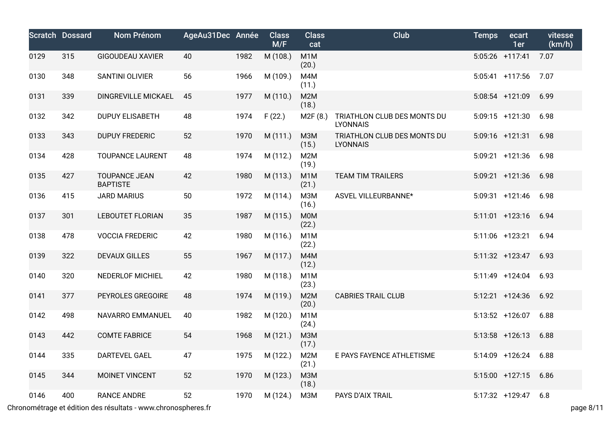|      | <b>Scratch Dossard</b> | <b>Nom Prénom</b>                       | AgeAu31Dec Année |      | <b>Class</b><br>M/F | <b>Class</b><br>cat       | Club                                           | <b>Temps</b> | ecart<br>1er       | vitesse<br>(km/h) |
|------|------------------------|-----------------------------------------|------------------|------|---------------------|---------------------------|------------------------------------------------|--------------|--------------------|-------------------|
| 0129 | 315                    | <b>GIGOUDEAU XAVIER</b>                 | 40               | 1982 | M (108.)            | M <sub>1</sub> M<br>(20.) |                                                |              | $5:05:26$ +117:41  | 7.07              |
| 0130 | 348                    | SANTINI OLIVIER                         | 56               | 1966 | M (109.)            | M4M<br>(11.)              |                                                |              | $5:05:41$ +117:56  | 7.07              |
| 0131 | 339                    | DINGREVILLE MICKAEL                     | 45               | 1977 | M (110.)            | M2M<br>(18.)              |                                                |              | 5:08:54 +121:09    | 6.99              |
| 0132 | 342                    | <b>DUPUY ELISABETH</b>                  | 48               | 1974 | F(22.)              | M2F(8.)                   | TRIATHLON CLUB DES MONTS DU<br><b>LYONNAIS</b> |              | $5:09:15$ +121:30  | 6.98              |
| 0133 | 343                    | <b>DUPUY FREDERIC</b>                   | 52               | 1970 | M (111.)            | M3M<br>(15.)              | TRIATHLON CLUB DES MONTS DU<br><b>LYONNAIS</b> |              | 5:09:16 +121:31    | 6.98              |
| 0134 | 428                    | <b>TOUPANCE LAURENT</b>                 | 48               | 1974 | M (112.)            | M <sub>2</sub> M<br>(19.) |                                                |              | $5:09:21 + 121:36$ | 6.98              |
| 0135 | 427                    | <b>TOUPANCE JEAN</b><br><b>BAPTISTE</b> | 42               | 1980 | M (113.)            | M <sub>1</sub> M<br>(21.) | <b>TEAM TIM TRAILERS</b>                       |              | $5:09:21$ +121:36  | 6.98              |
| 0136 | 415                    | <b>JARD MARIUS</b>                      | 50               | 1972 | M(114.)             | M3M<br>(16.)              | ASVEL VILLEURBANNE*                            |              | $5:09:31 + 121:46$ | 6.98              |
| 0137 | 301                    | <b>LEBOUTET FLORIAN</b>                 | 35               | 1987 | M (115.)            | <b>M0M</b><br>(22.)       |                                                |              | $5:11:01$ +123:16  | 6.94              |
| 0138 | 478                    | <b>VOCCIA FREDERIC</b>                  | 42               | 1980 | M (116.)            | M <sub>1</sub> M<br>(22.) |                                                |              | 5:11:06 +123:21    | 6.94              |
| 0139 | 322                    | <b>DEVAUX GILLES</b>                    | 55               | 1967 | M (117.)            | M4M<br>(12.)              |                                                |              | $5:11:32 + 123:47$ | 6.93              |
| 0140 | 320                    | <b>NEDERLOF MICHIEL</b>                 | 42               | 1980 | M (118.)            | M <sub>1</sub> M<br>(23.) |                                                |              | $5:11:49$ +124:04  | 6.93              |
| 0141 | 377                    | PEYROLES GREGOIRE                       | 48               | 1974 | M (119.)            | M2M<br>(20.)              | <b>CABRIES TRAIL CLUB</b>                      |              | $5:12:21$ +124:36  | 6.92              |
| 0142 | 498                    | NAVARRO EMMANUEL                        | 40               | 1982 | M (120.)            | M <sub>1</sub> M<br>(24.) |                                                |              | $5:13:52$ +126:07  | 6.88              |
| 0143 | 442                    | <b>COMTE FABRICE</b>                    | 54               | 1968 | M (121.)            | M3M<br>(17.)              |                                                |              | $5:13:58$ +126:13  | 6.88              |
| 0144 | 335                    | <b>DARTEVEL GAEL</b>                    | 47               | 1975 | M (122.)            | M2M<br>(21.)              | E PAYS FAYENCE ATHLETISME                      |              | 5:14:09 +126:24    | 6.88              |
| 0145 | 344                    | MOINET VINCENT                          | 52               | 1970 | M (123.)            | M3M<br>(18.)              |                                                |              | $5:15:00$ +127:15  | 6.86              |
| 0146 | 400                    | <b>RANCE ANDRE</b>                      | 52               | 1970 | M (124.)            | M3M                       | PAYS D'AIX TRAIL                               |              | 5:17:32 +129:47    | 6.8               |

Chronométrage et édition des résultats - www.chronospheres.fr page 8/11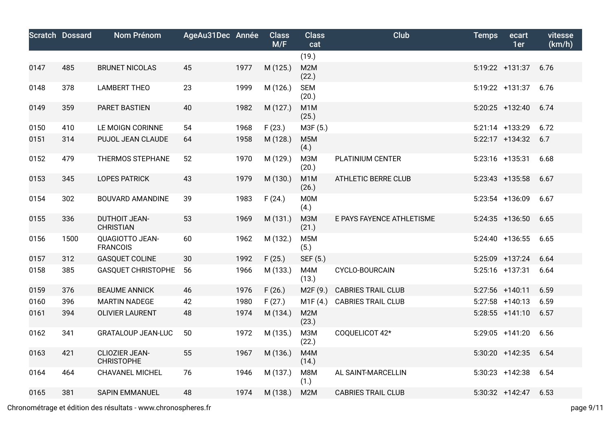|      | <b>Scratch Dossard</b> | <b>Nom Prénom</b>                         | AgeAu31Dec Année |      | <b>Class</b><br>M/F | <b>Class</b><br>cat       | <b>Club</b>                | <b>Temps</b> | ecart<br>1er      | vitesse<br>(km/h) |
|------|------------------------|-------------------------------------------|------------------|------|---------------------|---------------------------|----------------------------|--------------|-------------------|-------------------|
|      |                        |                                           |                  |      |                     | (19.)                     |                            |              |                   |                   |
| 0147 | 485                    | <b>BRUNET NICOLAS</b>                     | 45               | 1977 | M (125.)            | M <sub>2</sub> M<br>(22.) |                            |              | 5:19:22 +131:37   | 6.76              |
| 0148 | 378                    | <b>LAMBERT THEO</b>                       | 23               | 1999 | M (126.)            | <b>SEM</b><br>(20.)       |                            |              | 5:19:22 +131:37   | 6.76              |
| 0149 | 359                    | PARET BASTIEN                             | 40               | 1982 | M (127.)            | M <sub>1</sub> M<br>(25.) |                            |              | $5:20:25$ +132:40 | 6.74              |
| 0150 | 410                    | LE MOIGN CORINNE                          | 54               | 1968 | F(23.)              | M3F (5.)                  |                            |              | 5:21:14 +133:29   | 6.72              |
| 0151 | 314                    | PUJOL JEAN CLAUDE                         | 64               | 1958 | M (128.)            | M <sub>5</sub> M<br>(4.)  |                            |              | 5:22:17 +134:32   | 6.7               |
| 0152 | 479                    | THERMOS STEPHANE                          | 52               | 1970 | M (129.)            | <b>МЗМ</b><br>(20.)       | PLATINIUM CENTER           |              | 5:23:16 +135:31   | 6.68              |
| 0153 | 345                    | <b>LOPES PATRICK</b>                      | 43               | 1979 | M (130.)            | M <sub>1</sub> M<br>(26.) | <b>ATHLETIC BERRE CLUB</b> |              | $5:23:43$ +135:58 | 6.67              |
| 0154 | 302                    | <b>BOUVARD AMANDINE</b>                   | 39               | 1983 | F(24.)              | <b>M0M</b><br>(4.)        |                            |              | 5:23:54 +136:09   | 6.67              |
| 0155 | 336                    | <b>DUTHOIT JEAN-</b><br><b>CHRISTIAN</b>  | 53               | 1969 | M (131.)            | M3M<br>(21.)              | E PAYS FAYENCE ATHLETISME  |              | $5:24:35$ +136:50 | 6.65              |
| 0156 | 1500                   | <b>QUAGIOTTO JEAN-</b><br><b>FRANCOIS</b> | 60               | 1962 | M (132.)            | M <sub>5</sub> M<br>(5.)  |                            |              | $5:24:40$ +136:55 | 6.65              |
| 0157 | 312                    | <b>GASQUET COLINE</b>                     | 30               | 1992 | F(25.)              | SEF (5.)                  |                            |              | 5:25:09 +137:24   | 6.64              |
| 0158 | 385                    | <b>GASQUET CHRISTOPHE</b>                 | 56               | 1966 | M (133.)            | M4M<br>(13.)              | <b>CYCLO-BOURCAIN</b>      |              | $5:25:16$ +137:31 | 6.64              |
| 0159 | 376                    | <b>BEAUME ANNICK</b>                      | 46               | 1976 | F(26.)              | M2F (9.)                  | <b>CABRIES TRAIL CLUB</b>  |              | 5:27:56 +140:11   | 6.59              |
| 0160 | 396                    | <b>MARTIN NADEGE</b>                      | 42               | 1980 | F(27.)              | M1F(4.)                   | <b>CABRIES TRAIL CLUB</b>  |              | $5:27:58$ +140:13 | 6.59              |
| 0161 | 394                    | <b>OLIVIER LAURENT</b>                    | 48               | 1974 | M (134.)            | M <sub>2</sub> M<br>(23.) |                            |              | $5:28:55$ +141:10 | 6.57              |
| 0162 | 341                    | <b>GRATALOUP JEAN-LUC</b>                 | 50               | 1972 | M (135.)            | M3M<br>(22.)              | COQUELICOT 42*             |              | $5:29:05$ +141:20 | 6.56              |
| 0163 | 421                    | CLIOZIER JEAN-<br><b>CHRISTOPHE</b>       | 55               | 1967 | M (136.)            | M4M<br>(14.)              |                            |              | $5:30:20$ +142:35 | 6.54              |
| 0164 | 464                    | <b>CHAVANEL MICHEL</b>                    | 76               | 1946 | M (137.)            | M8M<br>(1.)               | AL SAINT-MARCELLIN         |              | $5:30:23$ +142:38 | 6.54              |
| 0165 | 381                    | <b>SAPIN EMMANUEL</b>                     | 48               | 1974 | M (138.)            | M2M                       | <b>CABRIES TRAIL CLUB</b>  |              | $5:30:32 +142:47$ | 6.53              |

Chronométrage et édition des résultats - www.chronospheres.fr page 9/11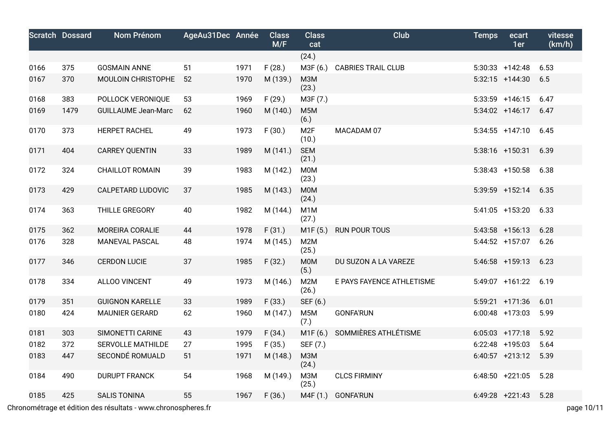|      | <b>Scratch Dossard</b> | <b>Nom Prénom</b>          | AgeAu31Dec Année |      | <b>Class</b><br>M/F | <b>Class</b><br>cat       | <b>Club</b>               | <b>Temps</b> | ecart<br>1er       | vitesse<br>(km/h) |
|------|------------------------|----------------------------|------------------|------|---------------------|---------------------------|---------------------------|--------------|--------------------|-------------------|
|      |                        |                            |                  |      |                     | (24.)                     |                           |              |                    |                   |
| 0166 | 375                    | <b>GOSMAIN ANNE</b>        | 51               | 1971 | F(28.)              | M3F (6.)                  | <b>CABRIES TRAIL CLUB</b> |              | $5:30:33 + 142:48$ | 6.53              |
| 0167 | 370                    | MOULOIN CHRISTOPHE         | 52               | 1970 | M (139.)            | <b>M3M</b><br>(23.)       |                           |              | $5:32:15$ +144:30  | 6.5               |
| 0168 | 383                    | POLLOCK VERONIQUE          | 53               | 1969 | F(29.)              | M3F (7.)                  |                           |              | $5:33:59$ +146:15  | 6.47              |
| 0169 | 1479                   | <b>GUILLAUME Jean-Marc</b> | 62               | 1960 | M (140.)            | M <sub>5</sub> M<br>(6.)  |                           |              | 5:34:02 +146:17    | 6.47              |
| 0170 | 373                    | <b>HERPET RACHEL</b>       | 49               | 1973 | F(30.)              | M <sub>2F</sub><br>(10.)  | MACADAM 07                |              | $5:34:55$ +147:10  | 6.45              |
| 0171 | 404                    | <b>CARREY QUENTIN</b>      | 33               | 1989 | M (141.)            | <b>SEM</b><br>(21.)       |                           |              | $5:38:16$ +150:31  | 6.39              |
| 0172 | 324                    | <b>CHAILLOT ROMAIN</b>     | 39               | 1983 | M (142.)            | <b>M0M</b><br>(23.)       |                           |              | 5:38:43 +150:58    | 6.38              |
| 0173 | 429                    | <b>CALPETARD LUDOVIC</b>   | 37               | 1985 | M (143.)            | <b>MOM</b><br>(24.)       |                           |              | 5:39:59 +152:14    | 6.35              |
| 0174 | 363                    | THILLE GREGORY             | 40               | 1982 | M (144.)            | M <sub>1</sub> M<br>(27.) |                           |              | $5:41:05$ +153:20  | 6.33              |
| 0175 | 362                    | MOREIRA CORALIE            | 44               | 1978 | F(31.)              | M1F(5.)                   | <b>RUN POUR TOUS</b>      |              | $5:43:58$ +156:13  | 6.28              |
| 0176 | 328                    | <b>MANEVAL PASCAL</b>      | 48               | 1974 | M (145.)            | M <sub>2</sub> M<br>(25.) |                           |              | $5:44:52 + 157:07$ | 6.26              |
| 0177 | 346                    | <b>CERDON LUCIE</b>        | 37               | 1985 | F(32.)              | <b>M0M</b><br>(5.)        | DU SUZON A LA VAREZE      |              | $5:46:58$ +159:13  | 6.23              |
| 0178 | 334                    | <b>ALLOO VINCENT</b>       | 49               | 1973 | M (146.)            | M2M<br>(26.)              | E PAYS FAYENCE ATHLETISME |              | 5:49:07 +161:22    | 6.19              |
| 0179 | 351                    | <b>GUIGNON KARELLE</b>     | 33               | 1989 | F(33.)              | SEF (6.)                  |                           |              | $5:59:21 + 171:36$ | 6.01              |
| 0180 | 424                    | <b>MAUNIER GERARD</b>      | 62               | 1960 | M (147.)            | M <sub>5</sub> M<br>(7.)  | <b>GONFA'RUN</b>          |              | $6:00:48$ +173:03  | 5.99              |
| 0181 | 303                    | SIMONETTI CARINE           | 43               | 1979 | F(34.)              | M1F (6.)                  | SOMMIÈRES ATHLÉTISME      |              | $6:05:03$ +177:18  | 5.92              |
| 0182 | 372                    | <b>SERVOLLE MATHILDE</b>   | 27               | 1995 | F(35.)              | SEF (7.)                  |                           |              | $6:22:48$ +195:03  | 5.64              |
| 0183 | 447                    | SECONDÉ ROMUALD            | 51               | 1971 | M (148.)            | <b>МЗМ</b><br>(24.)       |                           |              | $6:40:57$ +213:12  | 5.39              |
| 0184 | 490                    | <b>DURUPT FRANCK</b>       | 54               | 1968 | M (149.)            | <b>МЗМ</b><br>(25.)       | <b>CLCS FIRMINY</b>       |              | $6:48:50 +221:05$  | 5.28              |
| 0185 | 425                    | <b>SALIS TONINA</b>        | 55               | 1967 | F(36.)              | M4F(1.)                   | <b>GONFA'RUN</b>          |              | $6:49:28$ +221:43  | 5.28              |

Chronométrage et édition des résultats - www.chronospheres.fr page 10/11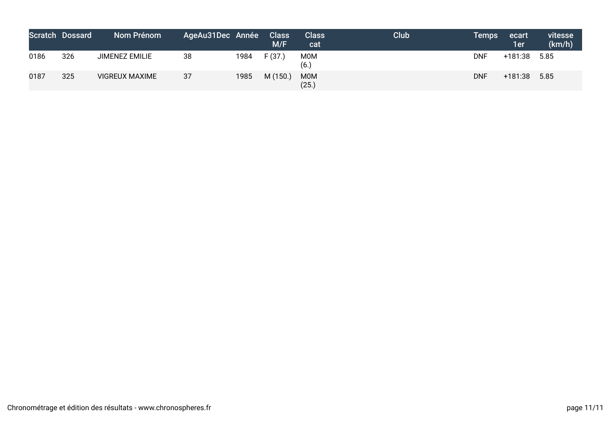|      | <b>Scratch Dossard</b> | Nom Prénom            | AgeAu31Dec Année |      | <b>Class</b><br>M/F | <b>Class</b><br>cat | <b>Club</b> | <b>Temps</b> | ecart<br>1er | vitesse<br>(km/h) |
|------|------------------------|-----------------------|------------------|------|---------------------|---------------------|-------------|--------------|--------------|-------------------|
| 0186 | 326                    | <b>JIMENEZ EMILIE</b> | 38               | 1984 | F(37)               | <b>MOM</b><br>(6.)  |             | <b>DNF</b>   | +181:38      | 5.85              |
| 0187 | 325                    | <b>VIGREUX MAXIME</b> | 37               | 1985 | M(150.)             | <b>MOM</b><br>(25.) |             | <b>DNF</b>   | +181:38      | 5.85              |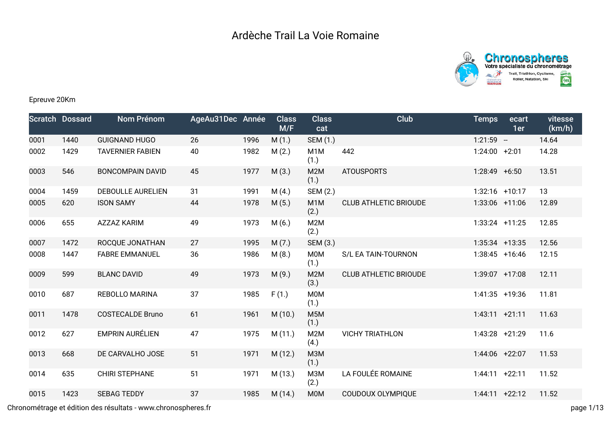



## Epreuve 20Km

|      | <b>Scratch Dossard</b> | Nom Prénom               | AgeAu31Dec Année |      | <b>Class</b><br>M/F | <b>Class</b><br>cat      | <b>Club</b>                  | <b>Temps</b>      | ecart<br>1er | vitesse<br>(km/h) |
|------|------------------------|--------------------------|------------------|------|---------------------|--------------------------|------------------------------|-------------------|--------------|-------------------|
| 0001 | 1440                   | <b>GUIGNAND HUGO</b>     | 26               | 1996 | M(1.)               | SEM (1.)                 |                              | $1:21:59 -$       |              | 14.64             |
| 0002 | 1429                   | <b>TAVERNIER FABIEN</b>  | 40               | 1982 | M(2.)               | M <sub>1</sub> M<br>(1.) | 442                          | $1:24:00$ +2:01   |              | 14.28             |
| 0003 | 546                    | <b>BONCOMPAIN DAVID</b>  | 45               | 1977 | M(3.)               | M2M<br>(1.)              | <b>ATOUSPORTS</b>            | $1:28:49$ +6:50   |              | 13.51             |
| 0004 | 1459                   | <b>DEBOULLE AURELIEN</b> | 31               | 1991 | M(4.)               | SEM (2.)                 |                              | $1:32:16$ +10:17  |              | 13                |
| 0005 | 620                    | <b>ISON SAMY</b>         | 44               | 1978 | M(5.)               | M <sub>1</sub> M<br>(2.) | <b>CLUB ATHLETIC BRIOUDE</b> | $1:33:06$ +11:06  |              | 12.89             |
| 0006 | 655                    | <b>AZZAZ KARIM</b>       | 49               | 1973 | M(6.)               | M2M<br>(2.)              |                              | $1:33:24$ +11:25  |              | 12.85             |
| 0007 | 1472                   | ROCQUE JONATHAN          | 27               | 1995 | M(7.)               | SEM (3.)                 |                              | $1:35:34$ +13:35  |              | 12.56             |
| 0008 | 1447                   | <b>FABRE EMMANUEL</b>    | 36               | 1986 | M(8.)               | M0M<br>(1.)              | S/L EA TAIN-TOURNON          | $1:38:45$ +16:46  |              | 12.15             |
| 0009 | 599                    | <b>BLANC DAVID</b>       | 49               | 1973 | M(9.)               | M2M<br>(3.)              | <b>CLUB ATHLETIC BRIOUDE</b> | 1:39:07 +17:08    |              | 12.11             |
| 0010 | 687                    | REBOLLO MARINA           | 37               | 1985 | F(1.)               | M0M<br>(1.)              |                              | $1:41:35$ +19:36  |              | 11.81             |
| 0011 | 1478                   | <b>COSTECALDE Bruno</b>  | 61               | 1961 | M(10.)              | M <sub>5</sub> M<br>(1.) |                              | 1:43:11           | $+21:11$     | 11.63             |
| 0012 | 627                    | <b>EMPRIN AURÉLIEN</b>   | 47               | 1975 | M(11.)              | M2M<br>(4.)              | <b>VICHY TRIATHLON</b>       | 1:43:28 +21:29    |              | 11.6              |
| 0013 | 668                    | DE CARVALHO JOSE         | 51               | 1971 | M (12.)             | M3M<br>(1.)              |                              | 1:44:06 +22:07    |              | 11.53             |
| 0014 | 635                    | <b>CHIRI STEPHANE</b>    | 51               | 1971 | M (13.)             | M3M<br>(2.)              | LA FOULÉE ROMAINE            | 1:44:11           | $+22:11$     | 11.52             |
| 0015 | 1423                   | <b>SEBAG TEDDY</b>       | 37               | 1985 | M(14.)              | M0M                      | COUDOUX OLYMPIQUE            | $1:44:11 + 22:12$ |              | 11.52             |

Chronométrage et édition des résultats - www.chronospheres.fr page 1/13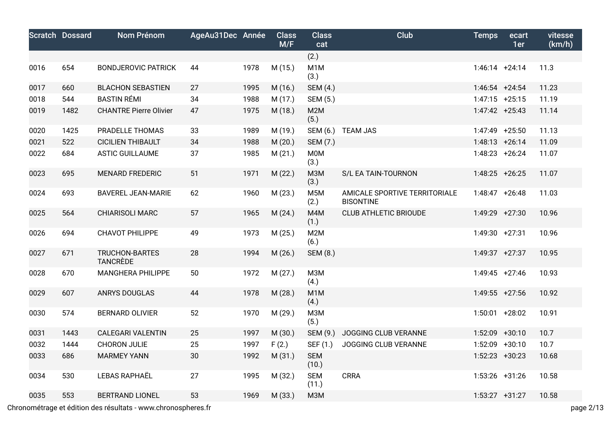|      | <b>Scratch Dossard</b> | <b>Nom Prénom</b>                        | AgeAu31Dec Année |      | <b>Class</b><br>M/F | <b>Class</b><br>cat      | Club                                              | <b>Temps</b>      | ecart<br>1er | vitesse<br>(km/h) |
|------|------------------------|------------------------------------------|------------------|------|---------------------|--------------------------|---------------------------------------------------|-------------------|--------------|-------------------|
|      |                        |                                          |                  |      |                     | (2.)                     |                                                   |                   |              |                   |
| 0016 | 654                    | <b>BONDJEROVIC PATRICK</b>               | 44               | 1978 | M (15.)             | M <sub>1</sub> M<br>(3.) |                                                   | $1:46:14$ +24:14  |              | 11.3              |
| 0017 | 660                    | <b>BLACHON SEBASTIEN</b>                 | 27               | 1995 | M (16.)             | <b>SEM (4.)</b>          |                                                   | $1:46:54$ +24:54  |              | 11.23             |
| 0018 | 544                    | <b>BASTIN RÉMI</b>                       | 34               | 1988 | M (17.)             | SEM (5.)                 |                                                   | $1:47:15$ +25:15  |              | 11.19             |
| 0019 | 1482                   | <b>CHANTRE Pierre Olivier</b>            | 47               | 1975 | M (18.)             | M <sub>2</sub> M<br>(5.) |                                                   | $1:47:42 + 25:43$ |              | 11.14             |
| 0020 | 1425                   | PRADELLE THOMAS                          | 33               | 1989 | M (19.)             | SEM (6.)                 | <b>TEAM JAS</b>                                   | $1:47:49$ +25:50  |              | 11.13             |
| 0021 | 522                    | <b>CICILIEN THIBAULT</b>                 | 34               | 1988 | M(20.)              | SEM (7.)                 |                                                   | $1:48:13 + 26:14$ |              | 11.09             |
| 0022 | 684                    | <b>ASTIC GUILLAUME</b>                   | 37               | 1985 | M(21.)              | <b>M0M</b><br>(3.)       |                                                   | $1:48:23$ +26:24  |              | 11.07             |
| 0023 | 695                    | <b>MENARD FREDERIC</b>                   | 51               | 1971 | M(22.)              | <b>МЗМ</b><br>(3.)       | S/L EA TAIN-TOURNON                               | $1:48:25$ +26:25  |              | 11.07             |
| 0024 | 693                    | <b>BAVEREL JEAN-MARIE</b>                | 62               | 1960 | M(23.)              | M <sub>5</sub> M<br>(2.) | AMICALE SPORTIVE TERRITORIALE<br><b>BISONTINE</b> | $1:48:47 + 26:48$ |              | 11.03             |
| 0025 | 564                    | <b>CHIARISOLI MARC</b>                   | 57               | 1965 | M(24.)              | M4M<br>(1.)              | <b>CLUB ATHLETIC BRIOUDE</b>                      | $1:49:29$ +27:30  |              | 10.96             |
| 0026 | 694                    | CHAVOT PHILIPPE                          | 49               | 1973 | M(25.)              | M <sub>2</sub> M<br>(6.) |                                                   | 1:49:30 +27:31    |              | 10.96             |
| 0027 | 671                    | <b>TRUCHON-BARTES</b><br><b>TANCRÈDE</b> | 28               | 1994 | M(26.)              | SEM (8.)                 |                                                   | $1:49:37 +27:37$  |              | 10.95             |
| 0028 | 670                    | MANGHERA PHILIPPE                        | 50               | 1972 | M(27.)              | <b>МЗМ</b><br>(4.)       |                                                   | $1:49:45$ +27:46  |              | 10.93             |
| 0029 | 607                    | <b>ANRYS DOUGLAS</b>                     | 44               | 1978 | M (28.)             | M <sub>1</sub> M<br>(4.) |                                                   | $1:49:55$ +27:56  |              | 10.92             |
| 0030 | 574                    | <b>BERNARD OLIVIER</b>                   | 52               | 1970 | M (29.)             | МЗМ<br>(5.)              |                                                   | $1:50:01$ +28:02  |              | 10.91             |
| 0031 | 1443                   | <b>CALEGARI VALENTIN</b>                 | 25               | 1997 | M (30.)             | SEM (9.)                 | JOGGING CLUB VERANNE                              | 1:52:09 +30:10    |              | 10.7              |
| 0032 | 1444                   | CHORON JULIE                             | 25               | 1997 | F(2.)               | SEF (1.)                 | JOGGING CLUB VERANNE                              | $1:52:09$ +30:10  |              | 10.7              |
| 0033 | 686                    | <b>MARMEY YANN</b>                       | 30               | 1992 | M (31.)             | <b>SEM</b><br>(10.)      |                                                   | $1:52:23$ +30:23  |              | 10.68             |
| 0034 | 530                    | <b>LEBAS RAPHAËL</b>                     | 27               | 1995 | M (32.)             | <b>SEM</b><br>(11.)      | <b>CRRA</b>                                       | $1:53:26$ +31:26  |              | 10.58             |
| 0035 | 553                    | <b>BERTRAND LIONEL</b>                   | 53               | 1969 | M (33.)             | M <sub>3</sub> M         |                                                   | $1:53:27$ +31:27  |              | 10.58             |

Chronométrage et édition des résultats - www.chronospheres.fr page 2/13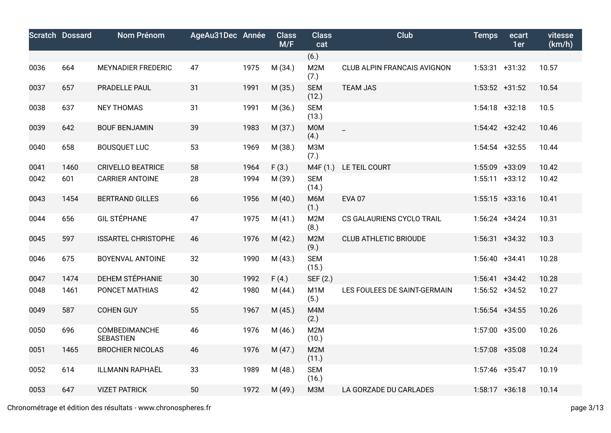|      | <b>Scratch Dossard</b> | <b>Nom Prénom</b>                 | AgeAu31Dec Année |      | <b>Class</b><br>M/F | <b>Class</b><br>cat       | <b>Club</b>                  | <b>Temps</b>      | ecart<br>1er | vitesse<br>(km/h) |
|------|------------------------|-----------------------------------|------------------|------|---------------------|---------------------------|------------------------------|-------------------|--------------|-------------------|
|      |                        |                                   |                  |      |                     | (6.)                      |                              |                   |              |                   |
| 0036 | 664                    | <b>MEYNADIER FREDERIC</b>         | 47               | 1975 | M(34.)              | M2M<br>(7.)               | CLUB ALPIN FRANCAIS AVIGNON  | $1:53:31 +31:32$  |              | 10.57             |
| 0037 | 657                    | PRADELLE PAUL                     | 31               | 1991 | M (35.)             | <b>SEM</b><br>(12.)       | <b>TEAM JAS</b>              | $1:53:52 +31:52$  |              | 10.54             |
| 0038 | 637                    | <b>NEY THOMAS</b>                 | 31               | 1991 | M (36.)             | <b>SEM</b><br>(13.)       |                              | $1:54:18$ +32:18  |              | 10.5              |
| 0039 | 642                    | <b>BOUF BENJAMIN</b>              | 39               | 1983 | M (37.)             | M0M<br>(4.)               | $\blacksquare$               | $1:54:42 +32:42$  |              | 10.46             |
| 0040 | 658                    | <b>BOUSQUET LUC</b>               | 53               | 1969 | M (38.)             | M3M<br>(7.)               |                              | $1:54:54$ +32:55  |              | 10.44             |
| 0041 | 1460                   | <b>CRIVELLO BEATRICE</b>          | 58               | 1964 | F(3.)               | M4F (1.)                  | LE TEIL COURT                | 1:55:09 +33:09    |              | 10.42             |
| 0042 | 601                    | <b>CARRIER ANTOINE</b>            | 28               | 1994 | M (39.)             | <b>SEM</b><br>(14.)       |                              | $1:55:11 +33:12$  |              | 10.42             |
| 0043 | 1454                   | <b>BERTRAND GILLES</b>            | 66               | 1956 | M(40.)              | M6M<br>(1.)               | <b>EVA 07</b>                | $1:55:15$ +33:16  |              | 10.41             |
| 0044 | 656                    | <b>GIL STÉPHANE</b>               | 47               | 1975 | M(41.)              | M2M<br>(8.)               | CS GALAURIENS CYCLO TRAIL    | $1:56:24$ +34:24  |              | 10.31             |
| 0045 | 597                    | <b>ISSARTEL CHRISTOPHE</b>        | 46               | 1976 | M(42.)              | M2M<br>(9.)               | <b>CLUB ATHLETIC BRIOUDE</b> | $1:56:31 +34:32$  |              | 10.3              |
| 0046 | 675                    | <b>BOYENVAL ANTOINE</b>           | 32               | 1990 | M(43.)              | <b>SEM</b><br>(15.)       |                              | $1:56:40 +34:41$  |              | 10.28             |
| 0047 | 1474                   | DEHEM STÉPHANIE                   | 30               | 1992 | F(4.)               | SEF (2.)                  |                              | $1:56:41 + 34:42$ |              | 10.28             |
| 0048 | 1461                   | PONCET MATHIAS                    | 42               | 1980 | M (44.)             | M <sub>1</sub> M<br>(5.)  | LES FOULEES DE SAINT-GERMAIN | $1:56:52 +34:52$  |              | 10.27             |
| 0049 | 587                    | <b>COHEN GUY</b>                  | 55               | 1967 | M (45.)             | M4M<br>(2.)               |                              | $1:56:54$ +34:55  |              | 10.26             |
| 0050 | 696                    | COMBEDIMANCHE<br><b>SEBASTIEN</b> | 46               | 1976 | M (46.)             | M2M<br>(10.)              |                              | $1:57:00 + 35:00$ |              | 10.26             |
| 0051 | 1465                   | <b>BROCHIER NICOLAS</b>           | 46               | 1976 | M(47.)              | M <sub>2</sub> M<br>(11.) |                              | $1:57:08$ +35:08  |              | 10.24             |
| 0052 | 614                    | <b>ILLMANN RAPHAËL</b>            | 33               | 1989 | M (48.)             | <b>SEM</b><br>(16.)       |                              | 1:57:46 +35:47    |              | 10.19             |
| 0053 | 647                    | <b>VIZET PATRICK</b>              | 50               | 1972 | M (49.)             | M3M                       | LA GORZADE DU CARLADES       | $1:58:17$ +36:18  |              | 10.14             |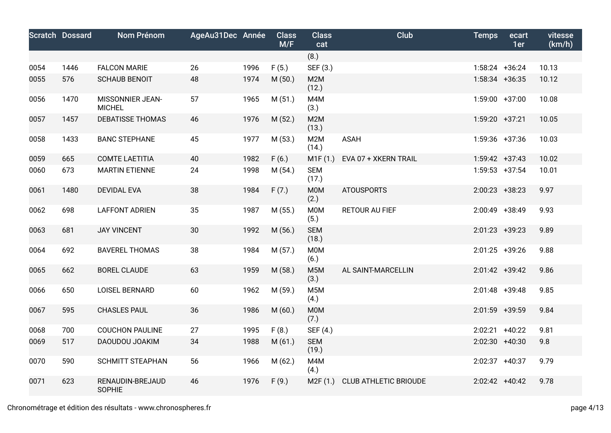|      | <b>Scratch Dossard</b> | <b>Nom Prénom</b>                 | AgeAu31Dec Année |      | <b>Class</b><br>M/F | <b>Class</b><br>cat      | <b>Club</b>                  | <b>Temps</b>     | ecart<br>1er | vitesse<br>(km/h) |
|------|------------------------|-----------------------------------|------------------|------|---------------------|--------------------------|------------------------------|------------------|--------------|-------------------|
|      |                        |                                   |                  |      |                     | (8.)                     |                              |                  |              |                   |
| 0054 | 1446                   | <b>FALCON MARIE</b>               | 26               | 1996 | F(5.)               | SEF (3.)                 |                              | $1:58:24$ +36:24 |              | 10.13             |
| 0055 | 576                    | <b>SCHAUB BENOIT</b>              | 48               | 1974 | M(50.)              | M2M<br>(12.)             |                              | $1:58:34$ +36:35 |              | 10.12             |
| 0056 | 1470                   | MISSONNIER JEAN-<br><b>MICHEL</b> | 57               | 1965 | M(51.)              | M4M<br>(3.)              |                              | $1:59:00 +37:00$ |              | 10.08             |
| 0057 | 1457                   | <b>DEBATISSE THOMAS</b>           | 46               | 1976 | M(52.)              | M2M<br>(13.)             |                              | $1:59:20 +37:21$ |              | 10.05             |
| 0058 | 1433                   | <b>BANC STEPHANE</b>              | 45               | 1977 | M(53.)              | M2M<br>(14.)             | <b>ASAH</b>                  | $1:59:36$ +37:36 |              | 10.03             |
| 0059 | 665                    | <b>COMTE LAETITIA</b>             | 40               | 1982 | F(6.)               | M1F(1.)                  | EVA 07 + XKERN TRAIL         | $1:59:42 +37:43$ |              | 10.02             |
| 0060 | 673                    | <b>MARTIN ETIENNE</b>             | 24               | 1998 | M(54.)              | <b>SEM</b><br>(17.)      |                              | $1:59:53$ +37:54 |              | 10.01             |
| 0061 | 1480                   | <b>DEVIDAL EVA</b>                | 38               | 1984 | F(7.)               | <b>MOM</b><br>(2.)       | <b>ATOUSPORTS</b>            | $2:00:23$ +38:23 |              | 9.97              |
| 0062 | 698                    | <b>LAFFONT ADRIEN</b>             | 35               | 1987 | M(55.)              | M0M<br>(5.)              | RETOUR AU FIEF               | 2:00:49 +38:49   |              | 9.93              |
| 0063 | 681                    | <b>JAY VINCENT</b>                | 30               | 1992 | M(56.)              | <b>SEM</b><br>(18.)      |                              | $2:01:23$ +39:23 |              | 9.89              |
| 0064 | 692                    | <b>BAVEREL THOMAS</b>             | 38               | 1984 | M(57.)              | M0M<br>(6.)              |                              | $2:01:25$ +39:26 |              | 9.88              |
| 0065 | 662                    | <b>BOREL CLAUDE</b>               | 63               | 1959 | M(58.)              | M <sub>5</sub> M<br>(3.) | AL SAINT-MARCELLIN           | $2:01:42$ +39:42 |              | 9.86              |
| 0066 | 650                    | <b>LOISEL BERNARD</b>             | 60               | 1962 | M (59.)             | M <sub>5</sub> M<br>(4.) |                              | 2:01:48 +39:48   |              | 9.85              |
| 0067 | 595                    | <b>CHASLES PAUL</b>               | 36               | 1986 | M(60.)              | <b>M0M</b><br>(7.)       |                              | 2:01:59 +39:59   |              | 9.84              |
| 0068 | 700                    | <b>COUCHON PAULINE</b>            | 27               | 1995 | F(8.)               | SEF (4.)                 |                              | $2:02:21$ +40:22 |              | 9.81              |
| 0069 | 517                    | DAOUDOU JOAKIM                    | 34               | 1988 | M(61.)              | <b>SEM</b><br>(19.)      |                              | $2:02:30$ +40:30 |              | 9.8               |
| 0070 | 590                    | <b>SCHMITT STEAPHAN</b>           | 56               | 1966 | M(62.)              | M4M<br>(4.)              |                              | 2:02:37 +40:37   |              | 9.79              |
| 0071 | 623                    | RENAUDIN-BREJAUD<br><b>SOPHIE</b> | 46               | 1976 | F(9.)               | M2F(1.)                  | <b>CLUB ATHLETIC BRIOUDE</b> | 2:02:42 +40:42   |              | 9.78              |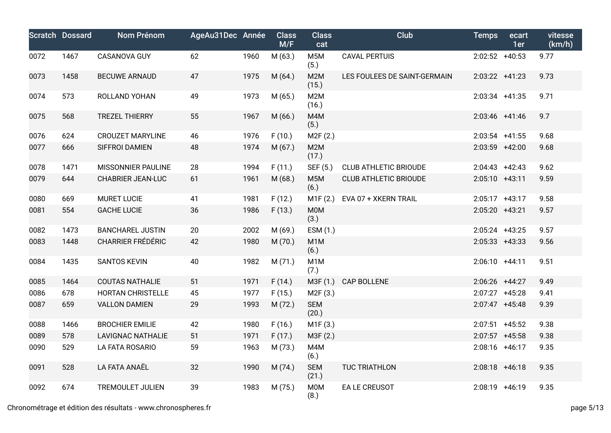|      | <b>Scratch Dossard</b> | Nom Prénom               | AgeAu31Dec Année |      | <b>Class</b><br>M/F | <b>Class</b><br>cat      | Club                         | <b>Temps</b>     | ecart<br>1er | vitesse<br>(km/h) |
|------|------------------------|--------------------------|------------------|------|---------------------|--------------------------|------------------------------|------------------|--------------|-------------------|
| 0072 | 1467                   | CASANOVA GUY             | 62               | 1960 | M (63.)             | M5M<br>(5.)              | <b>CAVAL PERTUIS</b>         | $2:02:52$ +40:53 |              | 9.77              |
| 0073 | 1458                   | <b>BECUWE ARNAUD</b>     | 47               | 1975 | M (64.)             | M2M<br>(15.)             | LES FOULEES DE SAINT-GERMAIN | $2:03:22 +41:23$ |              | 9.73              |
| 0074 | 573                    | ROLLAND YOHAN            | 49               | 1973 | M (65.)             | M2M<br>(16.)             |                              | 2:03:34 +41:35   |              | 9.71              |
| 0075 | 568                    | <b>TREZEL THIERRY</b>    | 55               | 1967 | M(66.)              | M4M<br>(5.)              |                              | $2:03:46$ +41:46 |              | 9.7               |
| 0076 | 624                    | <b>CROUZET MARYLINE</b>  | 46               | 1976 | F(10.)              | M2F(2.)                  |                              | $2:03:54$ +41:55 |              | 9.68              |
| 0077 | 666                    | SIFFROI DAMIEN           | 48               | 1974 | M (67.)             | M2M<br>(17.)             |                              | 2:03:59 +42:00   |              | 9.68              |
| 0078 | 1471                   | MISSONNIER PAULINE       | 28               | 1994 | F(11.)              | SEF (5.)                 | <b>CLUB ATHLETIC BRIOUDE</b> | $2:04:43$ +42:43 |              | 9.62              |
| 0079 | 644                    | <b>CHABRIER JEAN-LUC</b> | 61               | 1961 | M (68.)             | M <sub>5</sub> M<br>(6.) | <b>CLUB ATHLETIC BRIOUDE</b> | 2:05:10 +43:11   |              | 9.59              |
| 0080 | 669                    | <b>MURET LUCIE</b>       | 41               | 1981 | F(12.)              | M1F(2.)                  | EVA 07 + XKERN TRAIL         | $2:05:17$ +43:17 |              | 9.58              |
| 0081 | 554                    | <b>GACHE LUCIE</b>       | 36               | 1986 | F(13.)              | M0M<br>(3.)              |                              | 2:05:20 +43:21   |              | 9.57              |
| 0082 | 1473                   | <b>BANCHAREL JUSTIN</b>  | 20               | 2002 | M (69.)             | ESM (1.)                 |                              | $2:05:24$ +43:25 |              | 9.57              |
| 0083 | 1448                   | <b>CHARRIER FRÉDÉRIC</b> | 42               | 1980 | M (70.)             | M <sub>1</sub> M<br>(6.) |                              | $2:05:33$ +43:33 |              | 9.56              |
| 0084 | 1435                   | <b>SANTOS KEVIN</b>      | 40               | 1982 | M (71.)             | M <sub>1</sub> M<br>(7.) |                              | 2:06:10 +44:11   |              | 9.51              |
| 0085 | 1464                   | <b>COUTAS NATHALIE</b>   | 51               | 1971 | F(14.)              | M3F (1.)                 | CAP BOLLENE                  | $2:06:26$ +44:27 |              | 9.49              |
| 0086 | 678                    | HORTAN CHRISTELLE        | 45               | 1977 | F(15.)              | M2F(3.)                  |                              | $2:07:27$ +45:28 |              | 9.41              |
| 0087 | 659                    | <b>VALLON DAMIEN</b>     | 29               | 1993 | M (72.)             | <b>SEM</b><br>(20.)      |                              | $2:07:47$ +45:48 |              | 9.39              |
| 0088 | 1466                   | <b>BROCHIER EMILIE</b>   | 42               | 1980 | F(16.)              | M1F(3.)                  |                              | $2:07:51$ +45:52 |              | 9.38              |
| 0089 | 578                    | <b>LAVIGNAC NATHALIE</b> | 51               | 1971 | F(17.)              | M3F (2.)                 |                              | $2:07:57$ +45:58 |              | 9.38              |
| 0090 | 529                    | LA FATA ROSARIO          | 59               | 1963 | M (73.)             | M4M<br>(6.)              |                              | 2:08:16 +46:17   |              | 9.35              |
| 0091 | 528                    | LA FATA ANAËL            | 32               | 1990 | M (74.)             | <b>SEM</b><br>(21.)      | TUC TRIATHLON                | $2:08:18$ +46:18 |              | 9.35              |
| 0092 | 674                    | <b>TREMOULET JULIEN</b>  | 39               | 1983 | M (75.)             | M0M<br>(8.)              | EA LE CREUSOT                | 2:08:19 +46:19   |              | 9.35              |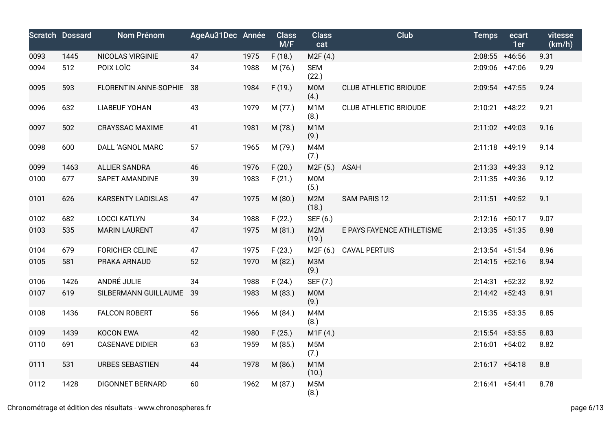|      | <b>Scratch Dossard</b> | Nom Prénom               | AgeAu31Dec Année |      | <b>Class</b><br>M/F | <b>Class</b><br>cat       | Club                         | <b>Temps</b>     | ecart<br>1er | vitesse<br>(km/h) |
|------|------------------------|--------------------------|------------------|------|---------------------|---------------------------|------------------------------|------------------|--------------|-------------------|
| 0093 | 1445                   | NICOLAS VIRGINIE         | 47               | 1975 | F(18.)              | M2F(4.)                   |                              | $2:08:55$ +46:56 |              | 9.31              |
| 0094 | 512                    | POIX LOÏC                | 34               | 1988 | M (76.)             | <b>SEM</b><br>(22.)       |                              | 2:09:06 +47:06   |              | 9.29              |
| 0095 | 593                    | FLORENTIN ANNE-SOPHIE 38 |                  | 1984 | F(19.)              | M0M<br>(4.)               | <b>CLUB ATHLETIC BRIOUDE</b> | 2:09:54 +47:55   |              | 9.24              |
| 0096 | 632                    | <b>LIABEUF YOHAN</b>     | 43               | 1979 | M (77.)             | M <sub>1</sub> M<br>(8.)  | <b>CLUB ATHLETIC BRIOUDE</b> | $2:10:21$ +48:22 |              | 9.21              |
| 0097 | 502                    | <b>CRAYSSAC MAXIME</b>   | 41               | 1981 | M (78.)             | M <sub>1</sub> M<br>(9.)  |                              | 2:11:02 +49:03   |              | 9.16              |
| 0098 | 600                    | DALL 'AGNOL MARC         | 57               | 1965 | M (79.)             | M4M<br>(7.)               |                              | 2:11:18 +49:19   |              | 9.14              |
| 0099 | 1463                   | <b>ALLIER SANDRA</b>     | 46               | 1976 | F(20.)              | M2F(5.)                   | ASAH                         | $2:11:33$ +49:33 |              | 9.12              |
| 0100 | 677                    | SAPET AMANDINE           | 39               | 1983 | F(21.)              | <b>M0M</b><br>(5.)        |                              | $2:11:35$ +49:36 |              | 9.12              |
| 0101 | 626                    | <b>KARSENTY LADISLAS</b> | 47               | 1975 | M(80.)              | M2M<br>(18.)              | SAM PARIS 12                 | $2:11:51$ +49:52 |              | 9.1               |
| 0102 | 682                    | <b>LOCCI KATLYN</b>      | 34               | 1988 | F(22.)              | SEF (6.)                  |                              | $2:12:16$ +50:17 |              | 9.07              |
| 0103 | 535                    | <b>MARIN LAURENT</b>     | 47               | 1975 | M(81.)              | M2M<br>(19.)              | E PAYS FAYENCE ATHLETISME    | $2:13:35$ +51:35 |              | 8.98              |
| 0104 | 679                    | <b>FORICHER CELINE</b>   | 47               | 1975 | F(23.)              | M2F (6.)                  | <b>CAVAL PERTUIS</b>         | $2:13:54$ +51:54 |              | 8.96              |
| 0105 | 581                    | PRAKA ARNAUD             | 52               | 1970 | M(82.)              | <b>МЗМ</b><br>(9.)        |                              | $2:14:15$ +52:16 |              | 8.94              |
| 0106 | 1426                   | ANDRÉ JULIE              | 34               | 1988 | F(24.)              | SEF (7.)                  |                              | $2:14:31$ +52:32 |              | 8.92              |
| 0107 | 619                    | SILBERMANN GUILLAUME 39  |                  | 1983 | M (83.)             | <b>MOM</b><br>(9.)        |                              | $2:14:42 +52:43$ |              | 8.91              |
| 0108 | 1436                   | <b>FALCON ROBERT</b>     | 56               | 1966 | M (84.)             | M4M<br>(8.)               |                              | $2:15:35$ +53:35 |              | 8.85              |
| 0109 | 1439                   | <b>KOCON EWA</b>         | 42               | 1980 | F(25.)              | M1F(4.)                   |                              | $2:15:54$ +53:55 |              | 8.83              |
| 0110 | 691                    | <b>CASENAVE DIDIER</b>   | 63               | 1959 | M (85.)             | M <sub>5</sub> M<br>(7.)  |                              | $2:16:01 +54:02$ |              | 8.82              |
| 0111 | 531                    | <b>URBES SEBASTIEN</b>   | 44               | 1978 | M (86.)             | M <sub>1</sub> M<br>(10.) |                              | $2:16:17 +54:18$ |              | 8.8               |
| 0112 | 1428                   | <b>DIGONNET BERNARD</b>  | 60               | 1962 | M (87.)             | M <sub>5</sub> M<br>(8.)  |                              | $2:16:41 +54:41$ |              | 8.78              |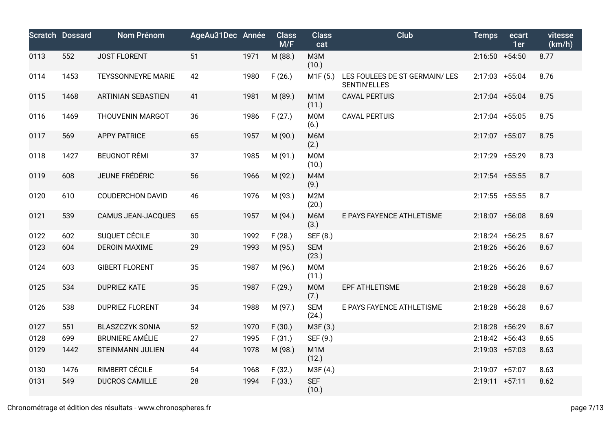|      | <b>Scratch Dossard</b> | Nom Prénom                | AgeAu31Dec Année |      | <b>Class</b><br>M/F | <b>Class</b><br>cat       | <b>Club</b>                                          | <b>Temps</b>      | ecart<br>1er | vitesse<br>(km/h) |
|------|------------------------|---------------------------|------------------|------|---------------------|---------------------------|------------------------------------------------------|-------------------|--------------|-------------------|
| 0113 | 552                    | <b>JOST FLORENT</b>       | 51               | 1971 | M (88.)             | <b>МЗМ</b><br>(10.)       |                                                      | $2:16:50 +54:50$  |              | 8.77              |
| 0114 | 1453                   | <b>TEYSSONNEYRE MARIE</b> | 42               | 1980 | F(26.)              | M1F (5.)                  | LES FOULEES DE ST GERMAIN/LES<br><b>SENTIN'ELLES</b> | $2:17:03$ +55:04  |              | 8.76              |
| 0115 | 1468                   | <b>ARTINIAN SEBASTIEN</b> | 41               | 1981 | M (89.)             | M <sub>1</sub> M<br>(11.) | <b>CAVAL PERTUIS</b>                                 | 2:17:04 +55:04    |              | 8.75              |
| 0116 | 1469                   | THOUVENIN MARGOT          | 36               | 1986 | F(27.)              | M0M<br>(6.)               | <b>CAVAL PERTUIS</b>                                 | 2:17:04 +55:05    |              | 8.75              |
| 0117 | 569                    | <b>APPY PATRICE</b>       | 65               | 1957 | M (90.)             | M6M<br>(2.)               |                                                      | 2:17:07 +55:07    |              | 8.75              |
| 0118 | 1427                   | <b>BEUGNOT RÉMI</b>       | 37               | 1985 | M (91.)             | M0M<br>(10.)              |                                                      | 2:17:29 +55:29    |              | 8.73              |
| 0119 | 608                    | JEUNE FRÉDÉRIC            | 56               | 1966 | M (92.)             | M4M<br>(9.)               |                                                      | $2:17:54$ +55:55  |              | 8.7               |
| 0120 | 610                    | <b>COUDERCHON DAVID</b>   | 46               | 1976 | M (93.)             | M <sub>2</sub> M<br>(20.) |                                                      | $2:17:55$ +55:55  |              | 8.7               |
| 0121 | 539                    | CAMUS JEAN-JACQUES        | 65               | 1957 | M (94.)             | M6M<br>(3.)               | E PAYS FAYENCE ATHLETISME                            | $2:18:07$ +56:08  |              | 8.69              |
| 0122 | 602                    | SUQUET CÉCILE             | 30               | 1992 | F(28.)              | SEF (8.)                  |                                                      | $2:18:24$ +56:25  |              | 8.67              |
| 0123 | 604                    | <b>DEROIN MAXIME</b>      | 29               | 1993 | M (95.)             | <b>SEM</b><br>(23.)       |                                                      | $2:18:26$ +56:26  |              | 8.67              |
| 0124 | 603                    | <b>GIBERT FLORENT</b>     | 35               | 1987 | M (96.)             | M0M<br>(11.)              |                                                      | $2:18:26$ +56:26  |              | 8.67              |
| 0125 | 534                    | <b>DUPRIEZ KATE</b>       | 35               | 1987 | F(29.)              | M0M<br>(7.)               | EPF ATHLETISME                                       | $2:18:28$ +56:28  |              | 8.67              |
| 0126 | 538                    | <b>DUPRIEZ FLORENT</b>    | 34               | 1988 | M (97.)             | <b>SEM</b><br>(24.)       | E PAYS FAYENCE ATHLETISME                            | $2:18:28$ +56:28  |              | 8.67              |
| 0127 | 551                    | <b>BLASZCZYK SONIA</b>    | 52               | 1970 | F(30.)              | M3F (3.)                  |                                                      | $2:18:28$ +56:29  |              | 8.67              |
| 0128 | 699                    | <b>BRUNIERE AMÉLIE</b>    | 27               | 1995 | F(31.)              | SEF (9.)                  |                                                      | $2:18:42 +56:43$  |              | 8.65              |
| 0129 | 1442                   | <b>STEINMANN JULIEN</b>   | 44               | 1978 | M (98.)             | M <sub>1</sub> M<br>(12.) |                                                      | $2:19:03$ +57:03  |              | 8.63              |
| 0130 | 1476                   | RIMBERT CÉCILE            | 54               | 1968 | F(32.)              | M3F (4.)                  |                                                      | 2:19:07 +57:07    |              | 8.63              |
| 0131 | 549                    | <b>DUCROS CAMILLE</b>     | 28               | 1994 | F(33.)              | <b>SEF</b><br>(10.)       |                                                      | $2:19:11 + 57:11$ |              | 8.62              |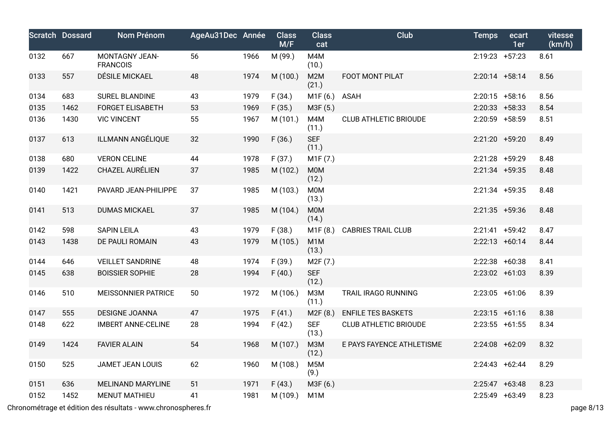|      | <b>Scratch Dossard</b> | Nom Prénom                                                    | AgeAu31Dec Année |      | <b>Class</b><br>M/F | <b>Class</b><br>cat       | Club                         | <b>Temps</b>      | ecart<br>1er | vitesse<br>(km/h) |
|------|------------------------|---------------------------------------------------------------|------------------|------|---------------------|---------------------------|------------------------------|-------------------|--------------|-------------------|
| 0132 | 667                    | <b>MONTAGNY JEAN-</b><br><b>FRANCOIS</b>                      | 56               | 1966 | M (99.)             | M4M<br>(10.)              |                              | $2:19:23$ +57:23  |              | 8.61              |
| 0133 | 557                    | DÉSILE MICKAEL                                                | 48               | 1974 | M (100.)            | M2M<br>(21.)              | FOOT MONT PILAT              | $2:20:14$ +58:14  |              | 8.56              |
| 0134 | 683                    | SUREL BLANDINE                                                | 43               | 1979 | F(34.)              | M1F (6.)                  | ASAH                         | $2:20:15$ +58:16  |              | 8.56              |
| 0135 | 1462                   | <b>FORGET ELISABETH</b>                                       | 53               | 1969 | F(35.)              | M3F (5.)                  |                              | $2:20:33$ +58:33  |              | 8.54              |
| 0136 | 1430                   | <b>VIC VINCENT</b>                                            | 55               | 1967 | M (101.)            | M4M<br>(11.)              | <b>CLUB ATHLETIC BRIOUDE</b> | 2:20:59 +58:59    |              | 8.51              |
| 0137 | 613                    | ILLMANN ANGÉLIQUE                                             | 32               | 1990 | F(36.)              | <b>SEF</b><br>(11.)       |                              | 2:21:20 +59:20    |              | 8.49              |
| 0138 | 680                    | <b>VERON CELINE</b>                                           | 44               | 1978 | F(37.)              | M1F (7.)                  |                              | 2:21:28 +59:29    |              | 8.48              |
| 0139 | 1422                   | CHAZEL AURÉLIEN                                               | 37               | 1985 | M (102.)            | M0M<br>(12.)              |                              | 2:21:34 +59:35    |              | 8.48              |
| 0140 | 1421                   | PAVARD JEAN-PHILIPPE                                          | 37               | 1985 | M (103.)            | <b>MOM</b><br>(13.)       |                              | $2:21:34$ +59:35  |              | 8.48              |
| 0141 | 513                    | <b>DUMAS MICKAEL</b>                                          | 37               | 1985 | M (104.)            | <b>MOM</b><br>(14.)       |                              | $2:21:35$ +59:36  |              | 8.48              |
| 0142 | 598                    | <b>SAPIN LEILA</b>                                            | 43               | 1979 | F(38.)              | M1F (8.)                  | <b>CABRIES TRAIL CLUB</b>    | $2:21:41 + 59:42$ |              | 8.47              |
| 0143 | 1438                   | DE PAULI ROMAIN                                               | 43               | 1979 | M (105.)            | M <sub>1</sub> M<br>(13.) |                              | $2:22:13$ +60:14  |              | 8.44              |
| 0144 | 646                    | <b>VEILLET SANDRINE</b>                                       | 48               | 1974 | F(39.)              | M <sub>2</sub> F (7.)     |                              | 2:22:38 +60:38    |              | 8.41              |
| 0145 | 638                    | <b>BOISSIER SOPHIE</b>                                        | 28               | 1994 | F(40.)              | <b>SEF</b><br>(12.)       |                              | $2:23:02 +61:03$  |              | 8.39              |
| 0146 | 510                    | <b>MEISSONNIER PATRICE</b>                                    | 50               | 1972 | M (106.)            | M3M<br>(11.)              | TRAIL IRAGO RUNNING          | $2:23:05$ +61:06  |              | 8.39              |
| 0147 | 555                    | <b>DESIGNE JOANNA</b>                                         | 47               | 1975 | F(41.)              | M2F(8.)                   | <b>ENFILE TES BASKETS</b>    | $2:23:15$ +61:16  |              | 8.38              |
| 0148 | 622                    | <b>IMBERT ANNE-CELINE</b>                                     | 28               | 1994 | F(42.)              | <b>SEF</b><br>(13.)       | <b>CLUB ATHLETIC BRIOUDE</b> | $2:23:55$ +61:55  |              | 8.34              |
| 0149 | 1424                   | <b>FAVIER ALAIN</b>                                           | 54               | 1968 | M (107.)            | M3M<br>(12.)              | E PAYS FAYENCE ATHLETISME    | 2:24:08 +62:09    |              | 8.32              |
| 0150 | 525                    | JAMET JEAN LOUIS                                              | 62               | 1960 | M (108.)            | M <sub>5</sub> M<br>(9.)  |                              | $2:24:43 +62:44$  |              | 8.29              |
| 0151 | 636                    | MELINAND MARYLINE                                             | 51               | 1971 | F(43.)              | M3F (6.)                  |                              | $2:25:47$ +63:48  |              | 8.23              |
| 0152 | 1452                   | <b>MENUT MATHIEU</b>                                          | 41               | 1981 | M (109.)            | M <sub>1</sub> M          |                              | 2:25:49 +63:49    |              | 8.23              |
|      |                        | Chronométrage et édition des résultats - www.chronospheres.fr |                  |      |                     |                           |                              |                   |              | page 8/13         |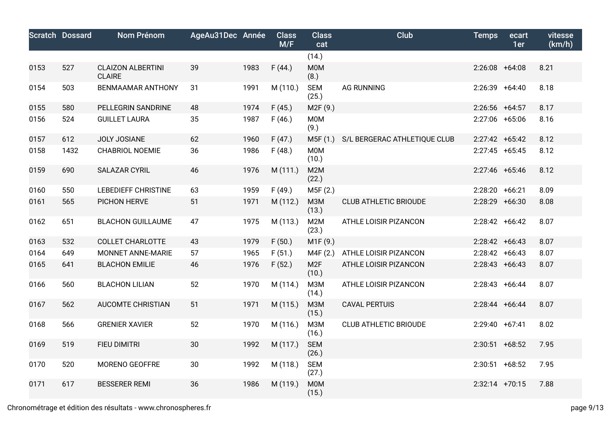|      | <b>Scratch Dossard</b> | <b>Nom Prénom</b>                         | AgeAu31Dec Année |      | <b>Class</b><br>M/F | <b>Class</b><br>cat       | <b>Club</b>                  | <b>Temps</b>     | ecart<br>1er | vitesse<br>(km/h) |
|------|------------------------|-------------------------------------------|------------------|------|---------------------|---------------------------|------------------------------|------------------|--------------|-------------------|
|      |                        |                                           |                  |      |                     | (14.)                     |                              |                  |              |                   |
| 0153 | 527                    | <b>CLAIZON ALBERTINI</b><br><b>CLAIRE</b> | 39               | 1983 | F(44.)              | M0M<br>(8.)               |                              | $2:26:08$ +64:08 |              | 8.21              |
| 0154 | 503                    | <b>BENMAAMAR ANTHONY</b>                  | 31               | 1991 | M (110.)            | <b>SEM</b><br>(25.)       | <b>AG RUNNING</b>            | 2:26:39 +64:40   |              | 8.18              |
| 0155 | 580                    | PELLEGRIN SANDRINE                        | 48               | 1974 | F(45.)              | M2F (9.)                  |                              | $2:26:56$ +64:57 |              | 8.17              |
| 0156 | 524                    | <b>GUILLET LAURA</b>                      | 35               | 1987 | F(46.)              | M0M<br>(9.)               |                              | 2:27:06 +65:06   |              | 8.16              |
| 0157 | 612                    | <b>JOLY JOSIANE</b>                       | 62               | 1960 | F(47.)              | M5F (1.)                  | S/L BERGERAC ATHLETIQUE CLUB | $2:27:42$ +65:42 |              | 8.12              |
| 0158 | 1432                   | <b>CHABRIOL NOEMIE</b>                    | 36               | 1986 | F(48.)              | M0M<br>(10.)              |                              | $2:27:45$ +65:45 |              | 8.12              |
| 0159 | 690                    | <b>SALAZAR CYRIL</b>                      | 46               | 1976 | M (111.)            | M <sub>2</sub> M<br>(22.) |                              | 2:27:46 +65:46   |              | 8.12              |
| 0160 | 550                    | <b>LEBEDIEFF CHRISTINE</b>                | 63               | 1959 | F(49.)              | M5F (2.)                  |                              | 2:28:20 +66:21   |              | 8.09              |
| 0161 | 565                    | PICHON HERVE                              | 51               | 1971 | M (112.)            | <b>МЗМ</b><br>(13.)       | <b>CLUB ATHLETIC BRIOUDE</b> | 2:28:29 +66:30   |              | 8.08              |
| 0162 | 651                    | <b>BLACHON GUILLAUME</b>                  | 47               | 1975 | M (113.)            | M2M<br>(23.)              | ATHLE LOISIR PIZANCON        | $2:28:42 +66:42$ |              | 8.07              |
| 0163 | 532                    | <b>COLLET CHARLOTTE</b>                   | 43               | 1979 | F(50.)              | M1F (9.)                  |                              | $2:28:42 +66:43$ |              | 8.07              |
| 0164 | 649                    | MONNET ANNE-MARIE                         | 57               | 1965 | F(51.)              | M4F (2.)                  | ATHLE LOISIR PIZANCON        | $2:28:42 +66:43$ |              | 8.07              |
| 0165 | 641                    | <b>BLACHON EMILIE</b>                     | 46               | 1976 | F(52.)              | M <sub>2F</sub><br>(10.)  | ATHLE LOISIR PIZANCON        | $2:28:43 +66:43$ |              | 8.07              |
| 0166 | 560                    | <b>BLACHON LILIAN</b>                     | 52               | 1970 | M (114.)            | МЗМ<br>(14.)              | ATHLE LOISIR PIZANCON        | $2:28:43 +66:44$ |              | 8.07              |
| 0167 | 562                    | <b>AUCOMTE CHRISTIAN</b>                  | 51               | 1971 | M (115.)            | <b>МЗМ</b><br>(15.)       | <b>CAVAL PERTUIS</b>         | 2:28:44 +66:44   |              | 8.07              |
| 0168 | 566                    | <b>GRENIER XAVIER</b>                     | 52               | 1970 | M (116.)            | M3M<br>(16.)              | <b>CLUB ATHLETIC BRIOUDE</b> | 2:29:40 +67:41   |              | 8.02              |
| 0169 | 519                    | FIEU DIMITRI                              | 30               | 1992 | M (117.)            | <b>SEM</b><br>(26.)       |                              | $2:30:51$ +68:52 |              | 7.95              |
| 0170 | 520                    | MORENO GEOFFRE                            | 30               | 1992 | M (118.)            | <b>SEM</b><br>(27.)       |                              | $2:30:51$ +68:52 |              | 7.95              |
| 0171 | 617                    | <b>BESSERER REMI</b>                      | 36               | 1986 | M (119.)            | <b>MOM</b><br>(15.)       |                              | $2:32:14$ +70:15 |              | 7.88              |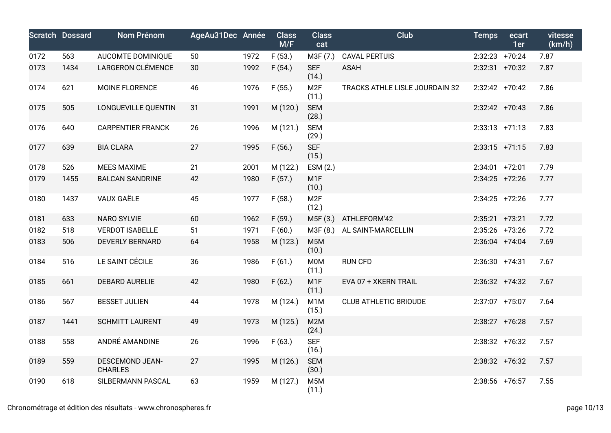|      | <b>Scratch Dossard</b> | Nom Prénom                               | AgeAu31Dec Année |      | <b>Class</b><br>M/F | <b>Class</b><br>cat       | <b>Club</b>                    | <b>Temps</b>     | ecart<br>1er | vitesse<br>(km/h) |
|------|------------------------|------------------------------------------|------------------|------|---------------------|---------------------------|--------------------------------|------------------|--------------|-------------------|
| 0172 | 563                    | AUCOMTE DOMINIQUE                        | 50               | 1972 | F(53.)              | M3F (7.)                  | <b>CAVAL PERTUIS</b>           | $2:32:23$ +70:24 |              | 7.87              |
| 0173 | 1434                   | LARGERON CLÉMENCE                        | 30               | 1992 | F(54.)              | <b>SEF</b><br>(14.)       | <b>ASAH</b>                    | 2:32:31 +70:32   |              | 7.87              |
| 0174 | 621                    | MOINE FLORENCE                           | 46               | 1976 | F(55.)              | M <sub>2F</sub><br>(11.)  | TRACKS ATHLE LISLE JOURDAIN 32 | $2:32:42$ +70:42 |              | 7.86              |
| 0175 | 505                    | LONGUEVILLE QUENTIN                      | 31               | 1991 | M (120.)            | <b>SEM</b><br>(28.)       |                                | $2:32:42$ +70:43 |              | 7.86              |
| 0176 | 640                    | <b>CARPENTIER FRANCK</b>                 | 26               | 1996 | M (121.)            | <b>SEM</b><br>(29.)       |                                | $2:33:13$ +71:13 |              | 7.83              |
| 0177 | 639                    | <b>BIA CLARA</b>                         | 27               | 1995 | F(56.)              | <b>SEF</b><br>(15.)       |                                | $2:33:15$ +71:15 |              | 7.83              |
| 0178 | 526                    | <b>MEES MAXIME</b>                       | 21               | 2001 | M (122.)            | ESM (2.)                  |                                | $2:34:01$ +72:01 |              | 7.79              |
| 0179 | 1455                   | <b>BALCAN SANDRINE</b>                   | 42               | 1980 | F(57.)              | M <sub>1</sub> F<br>(10.) |                                | $2:34:25$ +72:26 |              | 7.77              |
| 0180 | 1437                   | VAUX GAËLE                               | 45               | 1977 | F(58.)              | M <sub>2F</sub><br>(12.)  |                                | $2:34:25$ +72:26 |              | 7.77              |
| 0181 | 633                    | <b>NARO SYLVIE</b>                       | 60               | 1962 | F(59.)              | M5F(3.)                   | ATHLEFORM'42                   | $2:35:21$ +73:21 |              | 7.72              |
| 0182 | 518                    | <b>VERDOT ISABELLE</b>                   | 51               | 1971 | F(60.)              | M3F (8.)                  | AL SAINT-MARCELLIN             | 2:35:26 +73:26   |              | 7.72              |
| 0183 | 506                    | <b>DEVERLY BERNARD</b>                   | 64               | 1958 | M (123.)            | M <sub>5</sub> M<br>(10.) |                                | $2:36:04$ +74:04 |              | 7.69              |
| 0184 | 516                    | LE SAINT CÉCILE                          | 36               | 1986 | F(61.)              | M <sub>0</sub> M<br>(11.) | <b>RUN CFD</b>                 | $2:36:30 +74:31$ |              | 7.67              |
| 0185 | 661                    | <b>DEBARD AURELIE</b>                    | 42               | 1980 | F(62.)              | M <sub>1</sub> F<br>(11.) | EVA 07 + XKERN TRAIL           | $2:36:32 +74:32$ |              | 7.67              |
| 0186 | 567                    | <b>BESSET JULIEN</b>                     | 44               | 1978 | M (124.)            | M <sub>1</sub> M<br>(15.) | <b>CLUB ATHLETIC BRIOUDE</b>   | 2:37:07 +75:07   |              | 7.64              |
| 0187 | 1441                   | <b>SCHMITT LAURENT</b>                   | 49               | 1973 | M (125.)            | M2M<br>(24.)              |                                | $2:38:27$ +76:28 |              | 7.57              |
| 0188 | 558                    | ANDRÉ AMANDINE                           | 26               | 1996 | F(63.)              | <b>SEF</b><br>(16.)       |                                | $2:38:32$ +76:32 |              | 7.57              |
| 0189 | 559                    | <b>DESCEMOND JEAN-</b><br><b>CHARLES</b> | 27               | 1995 | M (126.)            | <b>SEM</b><br>(30.)       |                                | $2:38:32 +76:32$ |              | 7.57              |
| 0190 | 618                    | SILBERMANN PASCAL                        | 63               | 1959 | M (127.)            | M <sub>5</sub> M<br>(11.) |                                | $2:38:56$ +76:57 |              | 7.55              |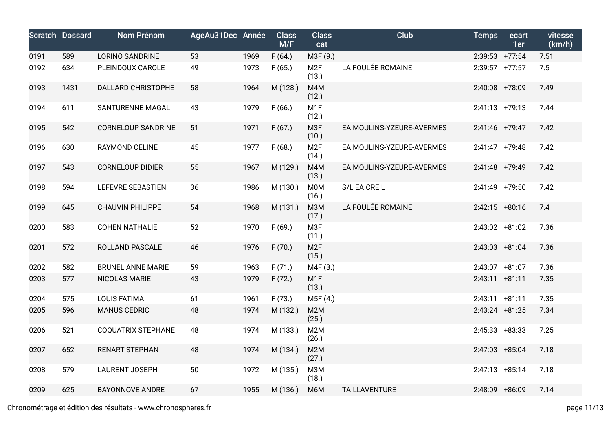|      | <b>Scratch Dossard</b> | Nom Prénom                | AgeAu31Dec Année |      | <b>Class</b><br>M/F | <b>Class</b><br>cat       | Club                      | <b>Temps</b>      | ecart<br>1er | vitesse<br>(km/h) |
|------|------------------------|---------------------------|------------------|------|---------------------|---------------------------|---------------------------|-------------------|--------------|-------------------|
| 0191 | 589                    | <b>LORINO SANDRINE</b>    | 53               | 1969 | F(64.)              | M3F (9.)                  |                           | $2:39:53$ +77:54  |              | 7.51              |
| 0192 | 634                    | PLEINDOUX CAROLE          | 49               | 1973 | F(65.)              | M <sub>2F</sub><br>(13.)  | LA FOULÉE ROMAINE         | $2:39:57$ +77:57  |              | 7.5               |
| 0193 | 1431                   | <b>DALLARD CHRISTOPHE</b> | 58               | 1964 | M (128.)            | M4M<br>(12.)              |                           | 2:40:08 +78:09    |              | 7.49              |
| 0194 | 611                    | SANTURENNE MAGALI         | 43               | 1979 | F(66.)              | M <sub>1F</sub><br>(12.)  |                           | $2:41:13 +79:13$  |              | 7.44              |
| 0195 | 542                    | <b>CORNELOUP SANDRINE</b> | 51               | 1971 | F(67.)              | M3F<br>(10.)              | EA MOULINS-YZEURE-AVERMES | 2:41:46 +79:47    |              | 7.42              |
| 0196 | 630                    | <b>RAYMOND CELINE</b>     | 45               | 1977 | F(68.)              | M <sub>2F</sub><br>(14.)  | EA MOULINS-YZEURE-AVERMES | $2:41:47$ +79:48  |              | 7.42              |
| 0197 | 543                    | <b>CORNELOUP DIDIER</b>   | 55               | 1967 | M (129.)            | M4M<br>(13.)              | EA MOULINS-YZEURE-AVERMES | $2:41:48$ +79:49  |              | 7.42              |
| 0198 | 594                    | <b>LEFEVRE SEBASTIEN</b>  | 36               | 1986 | M (130.)            | M0M<br>(16.)              | S/L EA CREIL              | 2:41:49 +79:50    |              | 7.42              |
| 0199 | 645                    | <b>CHAUVIN PHILIPPE</b>   | 54               | 1968 | M (131.)            | M3M<br>(17.)              | LA FOULÉE ROMAINE         | $2:42:15$ +80:16  |              | 7.4               |
| 0200 | 583                    | <b>COHEN NATHALIE</b>     | 52               | 1970 | F(69.)              | M3F<br>(11.)              |                           | $2:43:02$ +81:02  |              | 7.36              |
| 0201 | 572                    | ROLLAND PASCALE           | 46               | 1976 | F(70.)              | M <sub>2F</sub><br>(15.)  |                           | 2:43:03 +81:04    |              | 7.36              |
| 0202 | 582                    | <b>BRUNEL ANNE MARIE</b>  | 59               | 1963 | F(71.)              | M4F (3.)                  |                           | 2:43:07 +81:07    |              | 7.36              |
| 0203 | 577                    | NICOLAS MARIE             | 43               | 1979 | F(72.)              | M <sub>1</sub> F<br>(13.) |                           | $2:43:11 + 81:11$ |              | 7.35              |
| 0204 | 575                    | <b>LOUIS FATIMA</b>       | 61               | 1961 | F(73.)              | M5F (4.)                  |                           | $2:43:11 + 81:11$ |              | 7.35              |
| 0205 | 596                    | <b>MANUS CEDRIC</b>       | 48               | 1974 | M (132.)            | M2M<br>(25.)              |                           | $2:43:24$ +81:25  |              | 7.34              |
| 0206 | 521                    | COQUATRIX STEPHANE        | 48               | 1974 | M (133.)            | M2M<br>(26.)              |                           | $2:45:33 +83:33$  |              | 7.25              |
| 0207 | 652                    | <b>RENART STEPHAN</b>     | 48               | 1974 | M (134.)            | M2M<br>(27.)              |                           | 2:47:03 +85:04    |              | 7.18              |
| 0208 | 579                    | <b>LAURENT JOSEPH</b>     | 50               | 1972 | M (135.)            | МЗМ<br>(18.)              |                           | $2:47:13 + 85:14$ |              | 7.18              |
| 0209 | 625                    | <b>BAYONNOVE ANDRE</b>    | 67               | 1955 | M (136.)            | M6M                       | <b>TAILL'AVENTURE</b>     | 2:48:09 +86:09    |              | 7.14              |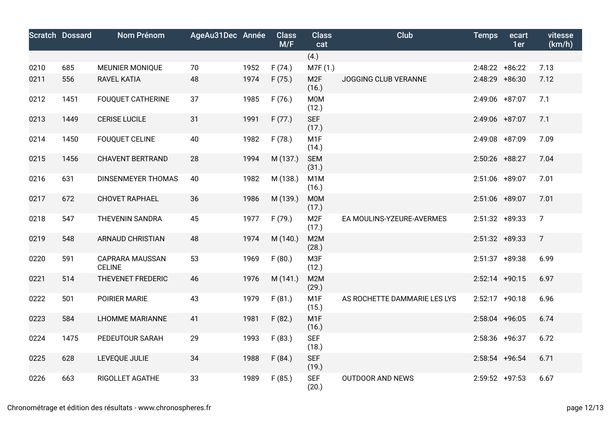|      | <b>Scratch Dossard</b> | <b>Nom Prénom</b>                       | AgeAu31Dec Année |      | <b>Class</b><br>M/F | <b>Class</b><br>cat       | <b>Club</b>                  | <b>Temps</b>      | ecart<br>1er | vitesse<br>(km/h) |
|------|------------------------|-----------------------------------------|------------------|------|---------------------|---------------------------|------------------------------|-------------------|--------------|-------------------|
|      |                        |                                         |                  |      |                     | (4.)                      |                              |                   |              |                   |
| 0210 | 685                    | <b>MEUNIER MONIQUE</b>                  | 70               | 1952 | F(74.)              | M7F (1.)                  |                              | $2:48:22 + 86:22$ |              | 7.13              |
| 0211 | 556                    | <b>RAVEL KATIA</b>                      | 48               | 1974 | F(75.)              | M <sub>2F</sub><br>(16.)  | JOGGING CLUB VERANNE         | $2:48:29$ +86:30  |              | 7.12              |
| 0212 | 1451                   | <b>FOUQUET CATHERINE</b>                | 37               | 1985 | F(76.)              | M0M<br>(12.)              |                              | 2:49:06 +87:07    |              | 7.1               |
| 0213 | 1449                   | <b>CERISE LUCILE</b>                    | 31               | 1991 | F(77.)              | <b>SEF</b><br>(17.)       |                              | 2:49:06 +87:07    |              | 7.1               |
| 0214 | 1450                   | <b>FOUQUET CELINE</b>                   | 40               | 1982 | F(78.)              | M <sub>1</sub> F<br>(14.) |                              | 2:49:08 +87:09    |              | 7.09              |
| 0215 | 1456                   | <b>CHAVENT BERTRAND</b>                 | 28               | 1994 | M (137.)            | <b>SEM</b><br>(31.)       |                              | 2:50:26 +88:27    |              | 7.04              |
| 0216 | 631                    | <b>DINSENMEYER THOMAS</b>               | 40               | 1982 | M (138.)            | M <sub>1</sub> M<br>(16.) |                              | 2:51:06 +89:07    |              | 7.01              |
| 0217 | 672                    | <b>CHOVET RAPHAEL</b>                   | 36               | 1986 | M (139.)            | M0M<br>(17.)              |                              | 2:51:06 +89:07    |              | 7.01              |
| 0218 | 547                    | THEVENIN SANDRA                         | 45               | 1977 | F(79.)              | M <sub>2F</sub><br>(17.)  | EA MOULINS-YZEURE-AVERMES    | $2:51:32 +89:33$  |              | $\overline{7}$    |
| 0219 | 548                    | <b>ARNAUD CHRISTIAN</b>                 | 48               | 1974 | M (140.)            | M2M<br>(28.)              |                              | $2:51:32$ +89:33  |              | $\overline{7}$    |
| 0220 | 591                    | <b>CAPRARA MAUSSAN</b><br><b>CELINE</b> | 53               | 1969 | F(80.)              | M3F<br>(12.)              |                              | $2:51:37$ +89:38  |              | 6.99              |
| 0221 | 514                    | THEVENET FREDERIC                       | 46               | 1976 | M(141.)             | M <sub>2</sub> M<br>(29.) |                              | $2:52:14$ +90:15  |              | 6.97              |
| 0222 | 501                    | POIRIER MARIE                           | 43               | 1979 | F(81.)              | M <sub>1</sub> F<br>(15.) | AS ROCHETTE DAMMARIE LES LYS | $2:52:17$ +90:18  |              | 6.96              |
| 0223 | 584                    | <b>LHOMME MARIANNE</b>                  | 41               | 1981 | F(82.)              | M <sub>1</sub> F<br>(16.) |                              | 2:58:04 +96:05    |              | 6.74              |
| 0224 | 1475                   | PEDEUTOUR SARAH                         | 29               | 1993 | F(83.)              | <b>SEF</b><br>(18.)       |                              | 2:58:36 +96:37    |              | 6.72              |
| 0225 | 628                    | LEVEQUE JULIE                           | 34               | 1988 | F(84.)              | <b>SEF</b><br>(19.)       |                              | $2:58:54$ +96:54  |              | 6.71              |
| 0226 | 663                    | RIGOLLET AGATHE                         | 33               | 1989 | F(85.)              | <b>SEF</b><br>(20.)       | <b>OUTDOOR AND NEWS</b>      | $2:59:52$ +97:53  |              | 6.67              |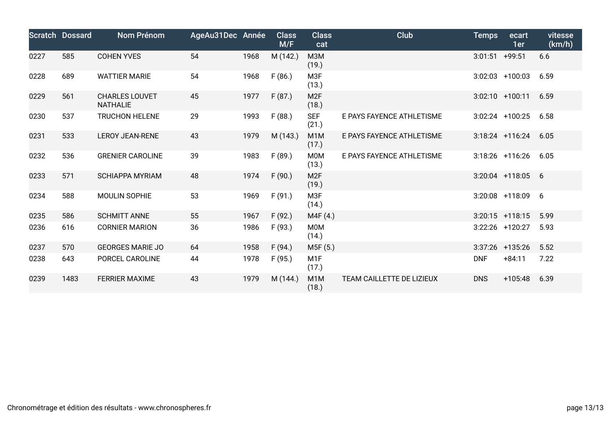|      | <b>Scratch Dossard</b> | <b>Nom Prénom</b>                        | AgeAu31Dec Année |      | <b>Class</b><br>M/F | <b>Class</b><br>cat       | Club                      | <b>Temps</b>     | ecart<br>1er        | vitesse<br>(km/h) |
|------|------------------------|------------------------------------------|------------------|------|---------------------|---------------------------|---------------------------|------------------|---------------------|-------------------|
| 0227 | 585                    | <b>COHEN YVES</b>                        | 54               | 1968 | M (142.)            | M3M<br>(19.)              |                           | $3:01:51$ +99:51 |                     | 6.6               |
| 0228 | 689                    | <b>WATTIER MARIE</b>                     | 54               | 1968 | F(86.)              | M3F<br>(13.)              |                           |                  | $3:02:03$ +100:03   | 6.59              |
| 0229 | 561                    | <b>CHARLES LOUVET</b><br><b>NATHALIE</b> | 45               | 1977 | F(87.)              | M <sub>2F</sub><br>(18.)  |                           |                  | $3:02:10$ +100:11   | 6.59              |
| 0230 | 537                    | <b>TRUCHON HELENE</b>                    | 29               | 1993 | F(88.)              | <b>SEF</b><br>(21.)       | E PAYS FAYENCE ATHLETISME |                  | $3:02:24$ +100:25   | 6.58              |
| 0231 | 533                    | <b>LEROY JEAN-RENE</b>                   | 43               | 1979 | M (143.)            | M <sub>1</sub> M<br>(17.) | E PAYS FAYENCE ATHLETISME |                  | $3:18:24$ +116:24   | 6.05              |
| 0232 | 536                    | <b>GRENIER CAROLINE</b>                  | 39               | 1983 | F(89.)              | M0M<br>(13.)              | E PAYS FAYENCE ATHLETISME |                  | $3:18:26$ +116:26   | 6.05              |
| 0233 | 571                    | <b>SCHIAPPA MYRIAM</b>                   | 48               | 1974 | F(90.)              | M <sub>2F</sub><br>(19.)  |                           |                  | $3:20:04$ +118:05 6 |                   |
| 0234 | 588                    | MOULIN SOPHIE                            | 53               | 1969 | F(91.)              | M3F<br>(14.)              |                           |                  | $3:20:08$ +118:09   | 6                 |
| 0235 | 586                    | <b>SCHMITT ANNE</b>                      | 55               | 1967 | F(92.)              | M4F (4.)                  |                           |                  | $3:20:15$ +118:15   | 5.99              |
| 0236 | 616                    | <b>CORNIER MARION</b>                    | 36               | 1986 | F(93.)              | M0M<br>(14.)              |                           |                  | 3:22:26 +120:27     | 5.93              |
| 0237 | 570                    | <b>GEORGES MARIE JO</b>                  | 64               | 1958 | F(94.)              | M5F (5.)                  |                           |                  | $3:37:26$ +135:26   | 5.52              |
| 0238 | 643                    | PORCEL CAROLINE                          | 44               | 1978 | F(95.)              | M <sub>1</sub> F<br>(17.) |                           | <b>DNF</b>       | $+84:11$            | 7.22              |
| 0239 | 1483                   | <b>FERRIER MAXIME</b>                    | 43               | 1979 | M (144.)            | M1M<br>(18.)              | TEAM CAILLETTE DE LIZIEUX | <b>DNS</b>       | $+105:48$           | 6.39              |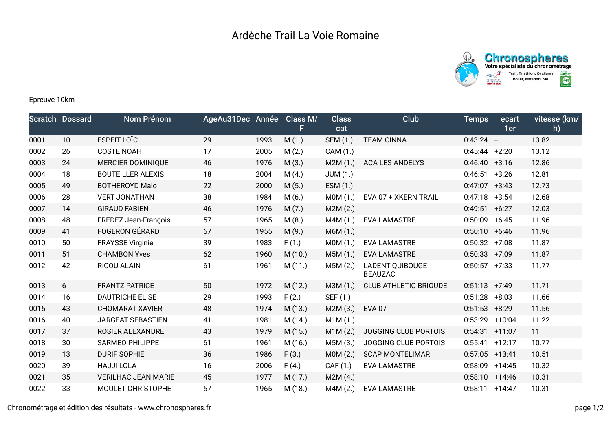



## Epreuve 10km

|      | <b>Scratch Dossard</b> | Nom Prénom                 | AgeAu31Dec Année |      | Class M/<br>F | <b>Class</b><br>cat | <b>Club</b>                              | <b>Temps</b>      | ecart<br>1er | vitesse (km/<br>h) |
|------|------------------------|----------------------------|------------------|------|---------------|---------------------|------------------------------------------|-------------------|--------------|--------------------|
| 0001 | 10                     | <b>ESPEIT LOÏC</b>         | 29               | 1993 | M(1.)         | SEM (1.)            | <b>TEAM CINNA</b>                        | $0:43:24 -$       |              | 13.82              |
| 0002 | 26                     | <b>COSTE NOAH</b>          | 17               | 2005 | M(2.)         | CAM (1.)            |                                          | $0:45:44$ +2:20   |              | 13.12              |
| 0003 | 24                     | <b>MERCIER DOMINIQUE</b>   | 46               | 1976 | M(3.)         | M2M(1.)             | <b>ACA LES ANDELYS</b>                   | $0:46:40 +3:16$   |              | 12.86              |
| 0004 | 18                     | <b>BOUTEILLER ALEXIS</b>   | 18               | 2004 | M(4.)         | <b>JUM (1.)</b>     |                                          | 0:46:51           | $+3:26$      | 12.81              |
| 0005 | 49                     | <b>BOTHEROYD Malo</b>      | 22               | 2000 | M(5.)         | ESM(1.)             |                                          | 0:47:07           | $+3:43$      | 12.73              |
| 0006 | 28                     | <b>VERT JONATHAN</b>       | 38               | 1984 | M(6.)         | MOM(1.)             | EVA 07 + XKERN TRAIL                     | 0:47:18           | $+3:54$      | 12.68              |
| 0007 | 14                     | <b>GIRAUD FABIEN</b>       | 46               | 1976 | M(7.)         | M2M(2.)             |                                          | 0:49:51           | $+6:27$      | 12.03              |
| 0008 | 48                     | FREDEZ Jean-François       | 57               | 1965 | M(8.)         | M4M (1.)            | <b>EVA LAMASTRE</b>                      | 0:50:09           | $+6:45$      | 11.96              |
| 0009 | 41                     | <b>FOGERON GÉRARD</b>      | 67               | 1955 | M(9.)         | M6M (1.)            |                                          | $0:50:10 + 6:46$  |              | 11.96              |
| 0010 | 50                     | <b>FRAYSSE Virginie</b>    | 39               | 1983 | F(1.)         | MOM(1.)             | <b>EVA LAMASTRE</b>                      | 0:50:32           | $+7:08$      | 11.87              |
| 0011 | 51                     | <b>CHAMBON Yves</b>        | 62               | 1960 | M(10.)        | M5M (1.)            | <b>EVA LAMASTRE</b>                      | $0:50:33$ +7:09   |              | 11.87              |
| 0012 | 42                     | <b>RICOU ALAIN</b>         | 61               | 1961 | M(11.)        | M5M (2.)            | <b>LADENT QUIBOUGE</b><br><b>BEAUZAC</b> | $0:50:57$ +7:33   |              | 11.77              |
| 0013 | 6                      | <b>FRANTZ PATRICE</b>      | 50               | 1972 | M(12.)        | M3M (1.)            | <b>CLUB ATHLETIC BRIOUDE</b>             | $0:51:13 +7:49$   |              | 11.71              |
| 0014 | 16                     | <b>DAUTRICHE ELISE</b>     | 29               | 1993 | F(2.)         | SEF (1.)            |                                          | $0:51:28$ +8:03   |              | 11.66              |
| 0015 | 43                     | <b>CHOMARAT XAVIER</b>     | 48               | 1974 | M(13.)        | M2M(3.)             | <b>EVA 07</b>                            | $0:51:53$ +8:29   |              | 11.56              |
| 0016 | 40                     | JARGEAT SEBASTIEN          | 41               | 1981 | M (14.)       | M1M(1.)             |                                          | $0:53:29$ +10:04  |              | 11.22              |
| 0017 | 37                     | <b>ROSIER ALEXANDRE</b>    | 43               | 1979 | M(15.)        | M1M(2.)             | <b>JOGGING CLUB PORTOIS</b>              | 0:54:31           | $+11:07$     | 11                 |
| 0018 | 30                     | <b>SARMEO PHILIPPE</b>     | 61               | 1961 | M (16.)       | M5M (3.)            | JOGGING CLUB PORTOIS                     | $0:55:41$ +12:17  |              | 10.77              |
| 0019 | 13                     | <b>DURIF SOPHIE</b>        | 36               | 1986 | F(3.)         | MOM(2.)             | <b>SCAP MONTELIMAR</b>                   | $0:57:05$ +13:41  |              | 10.51              |
| 0020 | 39                     | <b>HAJJI LOLA</b>          | 16               | 2006 | F(4.)         | CAF (1.)            | <b>EVA LAMASTRE</b>                      | $0:58:09$ +14:45  |              | 10.32              |
| 0021 | 35                     | <b>VERILHAC JEAN MARIE</b> | 45               | 1977 | M(17.)        | M2M (4.)            |                                          | $0:58:10 + 14:46$ |              | 10.31              |
| 0022 | 33                     | MOULET CHRISTOPHE          | 57               | 1965 | M (18.)       | M4M (2.)            | <b>EVA LAMASTRE</b>                      | $0:58:11 + 14:47$ |              | 10.31              |